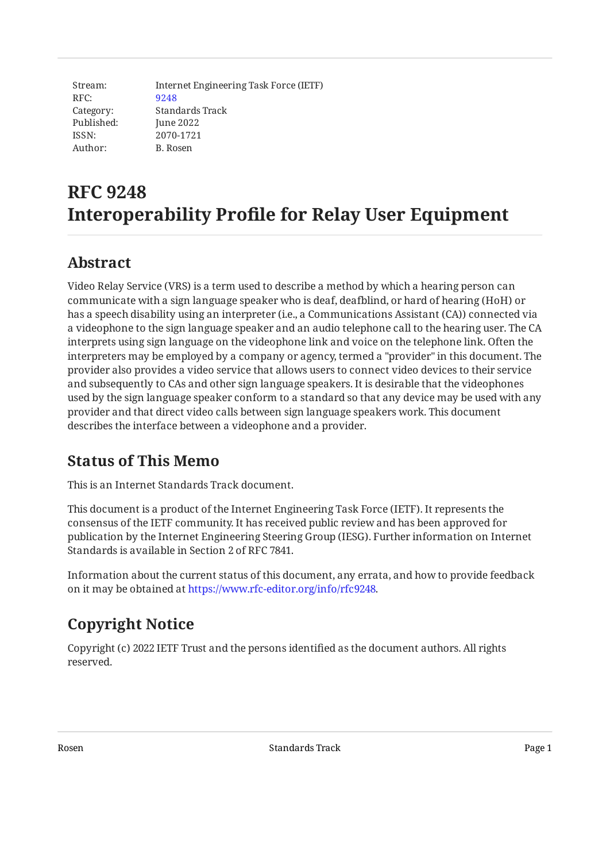Stream: RFC: Category: Published: ISSN: Author: Internet Engineering Task Force (IETF) [9248](https://www.rfc-editor.org/rfc/rfc9248) Standards Track June 2022 2070-1721 B. Rosen

# **RFC 9248 Interoperability Profile for Relay User Equipment**

# <span id="page-0-0"></span>**[Abstract](#page-0-0)**

Video Relay Service (VRS) is a term used to describe a method by which a hearing person can communicate with a sign language speaker who is deaf, deafblind, or hard of hearing (HoH) or has a speech disability using an interpreter (i.e., a Communications Assistant (CA)) connected via a videophone to the sign language speaker and an audio telephone call to the hearing user. The CA interprets using sign language on the videophone link and voice on the telephone link. Often the interpreters may be employed by a company or agency, termed a "provider" in this document. The provider also provides a video service that allows users to connect video devices to their service and subsequently to CAs and other sign language speakers. It is desirable that the videophones used by the sign language speaker conform to a standard so that any device may be used with any provider and that direct video calls between sign language speakers work. This document describes the interface between a videophone and a provider.

# <span id="page-0-1"></span>**[Status of This Memo](#page-0-1)**

This is an Internet Standards Track document.

This document is a product of the Internet Engineering Task Force (IETF). It represents the consensus of the IETF community. It has received public review and has been approved for publication by the Internet Engineering Steering Group (IESG). Further information on Internet Standards is available in Section 2 of RFC 7841.

Information about the current status of this document, any errata, and how to provide feedback on it may be obtained at [https://www.rfc-editor.org/info/rfc9248.](https://www.rfc-editor.org/info/rfc9248)

# <span id="page-0-2"></span>**[Copyright Notice](#page-0-2)**

Copyright (c) 2022 IETF Trust and the persons identified as the document authors. All rights reserved.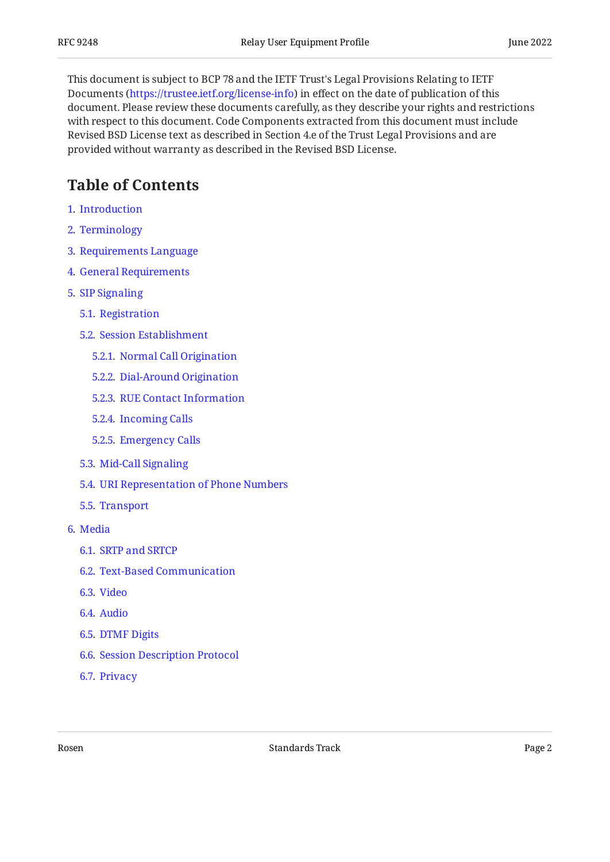This document is subject to BCP 78 and the IETF Trust's Legal Provisions Relating to IETF Documents (<https://trustee.ietf.org/license-info>) in effect on the date of publication of this document. Please review these documents carefully, as they describe your rights and restrictions with respect to this document. Code Components extracted from this document must include Revised BSD License text as described in Section 4.e of the Trust Legal Provisions and are provided without warranty as described in the Revised BSD License.

# <span id="page-1-0"></span>**[Table of Contents](#page-1-0)**

- [1](#page-3-0). [Introduction](#page-3-0)
- [2](#page-3-1). [Terminology](#page-3-1)
- [3](#page-5-0). [Requirements Language](#page-5-0)
- [4](#page-5-1). [General Requirements](#page-5-1)
- [5](#page-6-0). [SIP Signaling](#page-6-0)
	- [5.1.](#page-7-0) [Registration](#page-7-0)
	- [5.2.](#page-8-0) [Session Establishment](#page-8-0)
		- [5.2.1](#page-8-1). [Normal Call Origination](#page-8-1)
		- [5.2.2](#page-9-0). [Dial-Around Origination](#page-9-0)
		- [5.2.3](#page-10-0). [RUE Contact Information](#page-10-0)
		- [5.2.4](#page-10-1). [Incoming Calls](#page-10-1)
		- [5.2.5](#page-11-0). [Emergency Calls](#page-11-0)
	- [5.3.](#page-11-1) [Mid-Call Signaling](#page-11-1)
	- [5.4.](#page-11-2) [URI Representation of Phone Numbers](#page-11-2)
	- [5.5.](#page-12-0) [Transport](#page-12-0)
- [6](#page-12-1). [Media](#page-12-1)
	- [6.1.](#page-12-2) [SRTP and SRTCP](#page-12-2)
	- [6.2.](#page-13-0) [Text-Based Communication](#page-13-0)
	- [6.3.](#page-13-1) [Video](#page-13-1)
	- [6.4.](#page-13-2) [Audio](#page-13-2)
	- [6.5.](#page-13-3) [DTMF Digits](#page-13-3)
	- [6.6.](#page-13-4) [Session Description Protocol](#page-13-4)
	- [6.7.](#page-13-5) [Privacy](#page-13-5)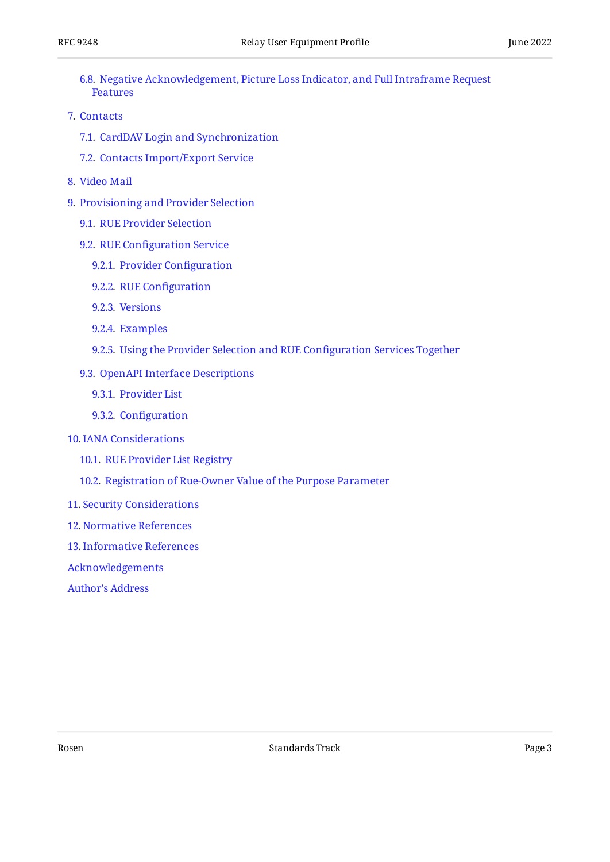- [6.8.](#page-14-0) [Negative Acknowledgement, Picture Loss Indicator, and Full Intraframe Request](#page-14-0) [Features](#page-14-0)
- [7](#page-14-1). [Contacts](#page-14-1)
	- [7.1.](#page-14-2) [CardDAV Login and Synchronization](#page-14-2)
	- [7.2.](#page-14-3) [Contacts Import/Export Service](#page-14-3)
- [8](#page-15-0). [Video Mail](#page-15-0)
- [9](#page-15-1). [Provisioning and Provider Selection](#page-15-1)
	- [9.1.](#page-16-0) [RUE Provider Selection](#page-16-0)
	- [9.2.](#page-17-0) RUE Confi[guration Service](#page-17-0)
		- [9.2.1](#page-18-0). [Provider Con](#page-18-0)figuration
		- [9.2.2](#page-18-1). RUE Confi[guration](#page-18-1)
		- [9.2.3](#page-20-0). [Versions](#page-20-0)
		- [9.2.4](#page-20-1). [Examples](#page-20-1)
		- [9.2.5](#page-21-0). [Using the Provider Selection and RUE Con](#page-21-0)figuration Services Together
	- [9.3.](#page-22-0) [OpenAPI Interface Descriptions](#page-22-0)
		- [9.3.1](#page-22-1). [Provider List](#page-22-1)
		- [9.3.2](#page-24-0). Confi[guration](#page-24-0)
- [10](#page-29-0). [IANA Considerations](#page-29-0)
	- [10.1.](#page-29-1) [RUE Provider List Registry](#page-29-1)
	- [10.2.](#page-29-2) [Registration of Rue-Owner Value of the Purpose Parameter](#page-29-2)
- [11](#page-30-0). [Security Considerations](#page-30-0)
- [12](#page-30-1). [Normative References](#page-30-1)
- [13](#page-35-0). [Informative References](#page-35-0)
- [Acknowledgements](#page-35-1)
- [Author's Address](#page-35-2)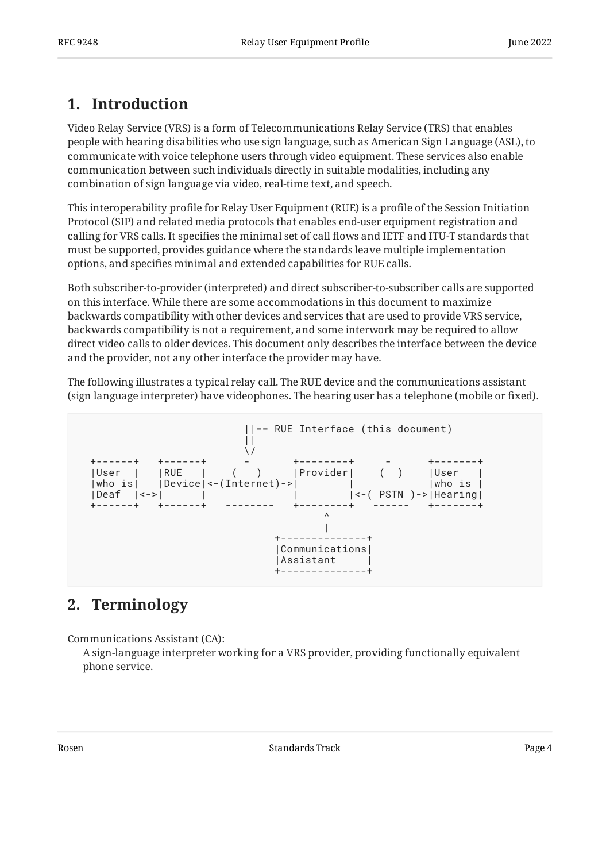# <span id="page-3-0"></span>**[1. Introduction](#page-3-0)**

Video Relay Service (VRS) is a form of Telecommunications Relay Service (TRS) that enables people with hearing disabilities who use sign language, such as American Sign Language (ASL), to communicate with voice telephone users through video equipment. These services also enable communication between such individuals directly in suitable modalities, including any combination of sign language via video, real-time text, and speech.

This interoperability profile for Relay User Equipment (RUE) is a profile of the Session Initiation Protocol (SIP) and related media protocols that enables end-user equipment registration and calling for VRS calls. It specifies the minimal set of call flows and IETF and ITU-T standards that must be supported, provides guidance where the standards leave multiple implementation options, and specifies minimal and extended capabilities for RUE calls.

Both subscriber-to-provider (interpreted) and direct subscriber-to-subscriber calls are supported on this interface. While there are some accommodations in this document to maximize backwards compatibility with other devices and services that are used to provide VRS service, backwards compatibility is not a requirement, and some interwork may be required to allow direct video calls to older devices. This document only describes the interface between the device and the provider, not any other interface the provider may have.

The following illustrates a typical relay call. The RUE device and the communications assistant (sign language interpreter) have videophones. The hearing user has a telephone (mobile or fixed).



# <span id="page-3-1"></span>**[2. Terminology](#page-3-1)**

Communications Assistant (CA):

A sign-language interpreter working for a VRS provider, providing functionally equivalent phone service.

Rosen and the Standards Track Page 4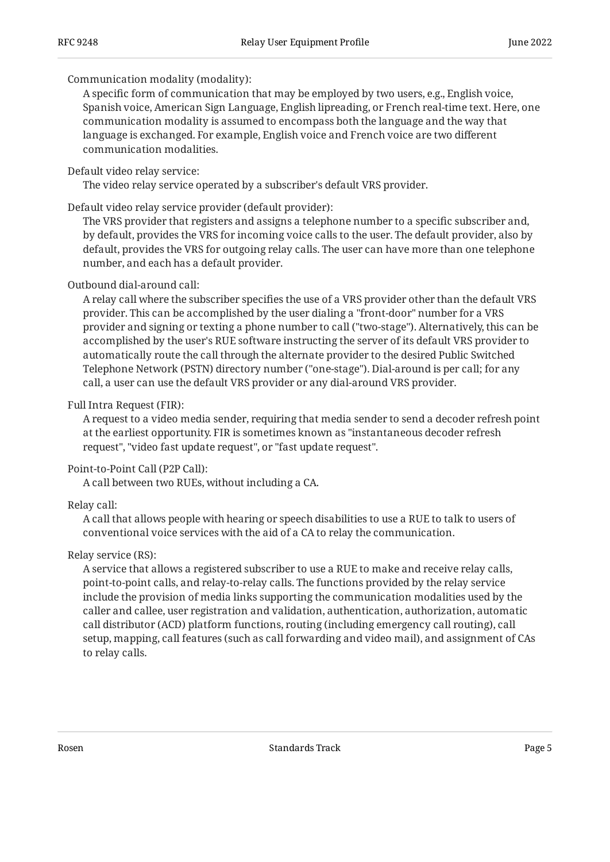#### Communication modality (modality):

A specific form of communication that may be employed by two users, e.g., English voice, Spanish voice, American Sign Language, English lipreading, or French real-time text. Here, one communication modality is assumed to encompass both the language and the way that language is exchanged. For example, English voice and French voice are two different communication modalities.

#### Default video relay service:

The video relay service operated by a subscriber's default VRS provider.

#### Default video relay service provider (default provider):

The VRS provider that registers and assigns a telephone number to a specific subscriber and, by default, provides the VRS for incoming voice calls to the user. The default provider, also by default, provides the VRS for outgoing relay calls. The user can have more than one telephone number, and each has a default provider.

#### Outbound dial-around call:

A relay call where the subscriber specifies the use of a VRS provider other than the default VRS provider. This can be accomplished by the user dialing a "front-door" number for a VRS provider and signing or texting a phone number to call ("two-stage"). Alternatively, this can be accomplished by the user's RUE software instructing the server of its default VRS provider to automatically route the call through the alternate provider to the desired Public Switched Telephone Network (PSTN) directory number ("one-stage"). Dial-around is per call; for any call, a user can use the default VRS provider or any dial-around VRS provider.

#### Full Intra Request (FIR):

A request to a video media sender, requiring that media sender to send a decoder refresh point at the earliest opportunity. FIR is sometimes known as "instantaneous decoder refresh request", "video fast update request", or "fast update request".

#### Point-to-Point Call (P2P Call):

A call between two RUEs, without including a CA.

#### Relay call:

A call that allows people with hearing or speech disabilities to use a RUE to talk to users of conventional voice services with the aid of a CA to relay the communication.

### Relay service (RS):

A service that allows a registered subscriber to use a RUE to make and receive relay calls, point-to-point calls, and relay-to-relay calls. The functions provided by the relay service include the provision of media links supporting the communication modalities used by the caller and callee, user registration and validation, authentication, authorization, automatic call distributor (ACD) platform functions, routing (including emergency call routing), call setup, mapping, call features (such as call forwarding and video mail), and assignment of CAs to relay calls.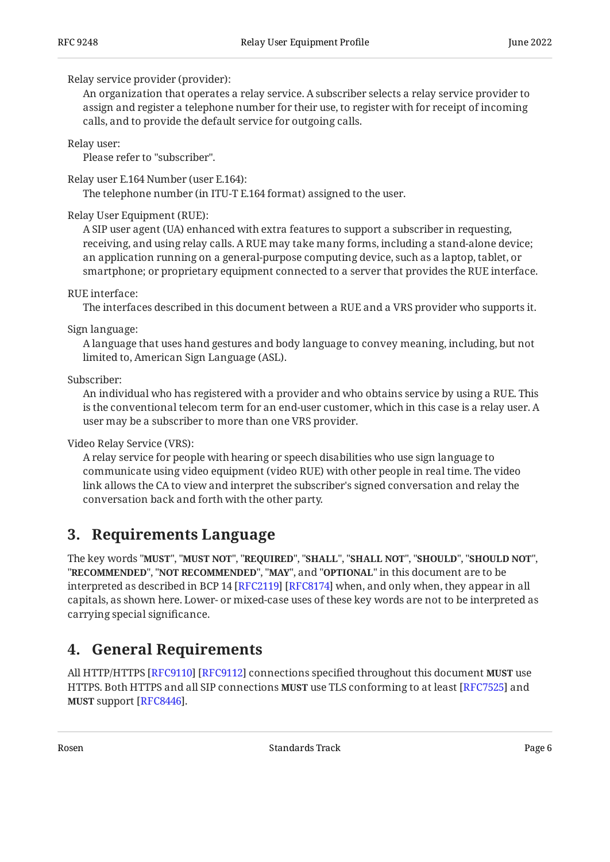#### Relay service provider (provider):

An organization that operates a relay service. A subscriber selects a relay service provider to assign and register a telephone number for their use, to register with for receipt of incoming calls, and to provide the default service for outgoing calls.

Relay user:

Please refer to "subscriber".

Relay user E.164 Number (user E.164):

The telephone number (in ITU-T E.164 format) assigned to the user.

#### Relay User Equipment (RUE):

A SIP user agent (UA) enhanced with extra features to support a subscriber in requesting, receiving, and using relay calls. A RUE may take many forms, including a stand-alone device; an application running on a general-purpose computing device, such as a laptop, tablet, or smartphone; or proprietary equipment connected to a server that provides the RUE interface.

#### RUE interface:

The interfaces described in this document between a RUE and a VRS provider who supports it.

#### Sign language:

A language that uses hand gestures and body language to convey meaning, including, but not limited to, American Sign Language (ASL).

Subscriber:

An individual who has registered with a provider and who obtains service by using a RUE. This is the conventional telecom term for an end-user customer, which in this case is a relay user. A user may be a subscriber to more than one VRS provider.

Video Relay Service (VRS):

A relay service for people with hearing or speech disabilities who use sign language to communicate using video equipment (video RUE) with other people in real time. The video link allows the CA to view and interpret the subscriber's signed conversation and relay the conversation back and forth with the other party.

# <span id="page-5-0"></span>**[3. Requirements Language](#page-5-0)**

The key words "MUST", "MUST NOT", "REQUIRED", "SHALL", "SHALL NOT", "SHOULD", "SHOULD NOT", "**RECOMMENDED", "NOT RECOMMENDED", "MAY",** and "OPTIONAL" in this document are to be interpreted as described in BCP 14 [RFC2119] [RFC8174] when, and only when, they appear in all capitals, as shown here. Lower- or mixed-case uses of these key words are not to be interpreted as carrying special significance.

# <span id="page-5-1"></span>**[4. General Requirements](#page-5-1)**

All HTTP/HTTPS [RFC9110] [RFC9112] connections specified throughout this document **MUST** use HTTPS. Both HTTPS and all SIP connections **MUST** use TLS conforming to at least [RFC7525] and **MUST** support [RFC8446].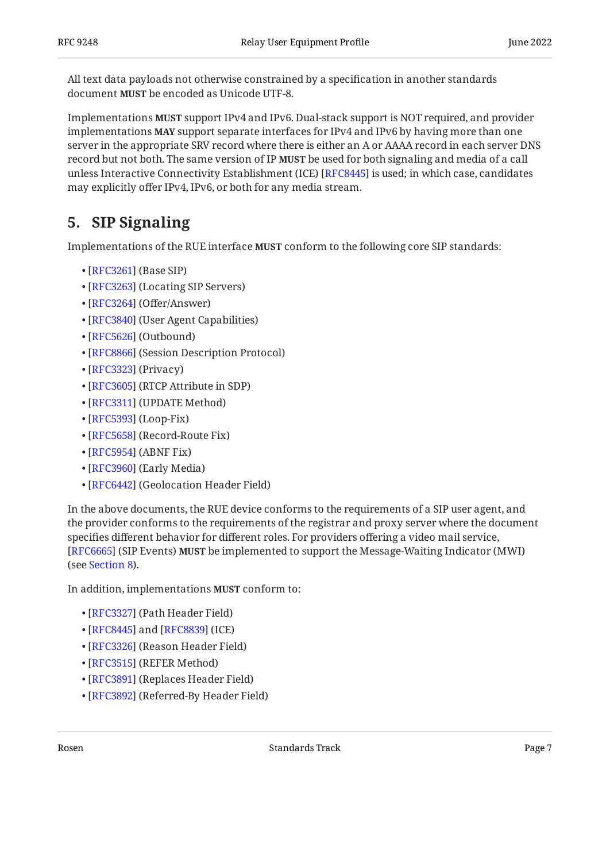All text data payloads not otherwise constrained by a specification in another standards document MUST be encoded as Unicode UTF-8.

Implementations **MUST** support IPv4 and IPv6. Dual-stack support is NOT required, and provider implementations **MAY** support separate interfaces for IPv4 and IPv6 by having more than one server in the appropriate SRV record where there is either an A or AAAA record in each server DNS record but not both. The same version of IP **MUST** be used for both signaling and media of a call unless Interactive Connectivity Establishment (ICE) [RFC8445] is used; in which case, candidates may explicitly offer IPv4, IPv6, or both for any media stream.

# <span id="page-6-0"></span>**[5. SIP Signaling](#page-6-0)**

Implementations of the RUE interface **MUST** conform to the following core SIP standards:

- [[RFC3261\]](#page-30-3) (Base SIP)
- [[RFC3263\]](#page-31-0) (Locating SIP Servers)
- [[RFC3264\]](#page-31-1) (Offer/Answer)
- [[RFC3840\]](#page-31-2) (User Agent Capabilities)
- [[RFC5626\]](#page-32-0) (Outbound)
- [[RFC8866\]](#page-34-3) (Session Description Protocol)
- [[RFC3323\]](#page-31-3) (Privacy)
- [[RFC3605\]](#page-31-4) (RTCP Attribute in SDP)
- [[RFC3311\]](#page-31-5) (UPDATE Method)
- [[RFC5393\]](#page-32-1) (Loop-Fix)
- [[RFC5658\]](#page-32-2) (Record-Route Fix)
- [[RFC5954\]](#page-33-1) (ABNF Fix)
- [[RFC3960\]](#page-32-3) (Early Media)
- [[RFC6442\]](#page-33-2) (Geolocation Header Field)

In the above documents, the RUE device conforms to the requirements of a SIP user agent, and the provider conforms to the requirements of the registrar and proxy server where the document specifies different behavior for different roles. For providers offering a video mail service, **[[RFC6665\]](#page-33-3) (SIP Events) MUST** be implemented to support the Message-Waiting Indicator (MWI) (see [Section 8\)](#page-15-0).

In addition, implementations MUST conform to:

- [[RFC3327\]](#page-31-6) (Path Header Field)
- [[RFC8445\]](#page-34-2) and [RFC8839] (ICE)
- [[RFC3326\]](#page-31-7) (Reason Header Field)
- [[RFC3515\]](#page-31-8) (REFER Method)
- [[RFC3891\]](#page-31-9) (Replaces Header Field)
- [[RFC3892\]](#page-31-10) (Referred-By Header Field)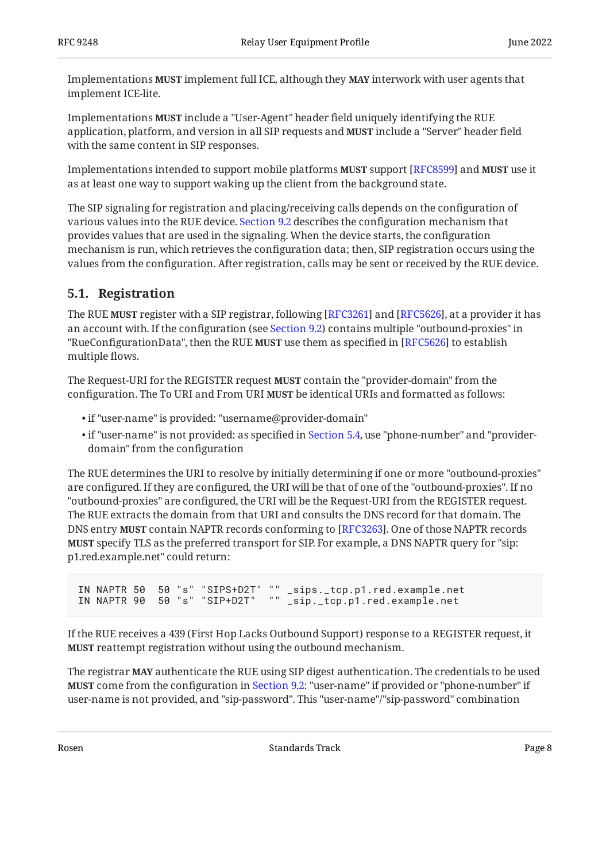Implementations **MUST** implement full ICE, although they **MAY** interwork with user agents that implement ICE-lite.

Implementations **MUST** include a "User-Agent" header field uniquely identifying the RUE application, platform, and version in all SIP requests and **MUST** include a "Server" header field with the same content in SIP responses.

Implementations intended to support mobile platforms **MUST** support [RFC8599] and **MUST** use it as at least one way to support waking up the client from the background state.

The SIP signaling for registration and placing/receiving calls depends on the configuration of various values into the RUE device. [Section 9.2](#page-17-0) describes the configuration mechanism that provides values that are used in the signaling. When the device starts, the configuration mechanism is run, which retrieves the configuration data; then, SIP registration occurs using the values from the configuration. After registration, calls may be sent or received by the RUE device.

### <span id="page-7-0"></span>**[5.1. Registration](#page-7-0)**

The RUE **MUST** register with a SIP registrar, following [RFC3261] and [RFC5626], at a provider it has an account with. If the configuration (see [Section 9.2](#page-17-0)) contains multiple "outbound-proxies" in "RueConfigurationData", then the RUE **MUST** use them as specified in [RFC5626] to establish multiple flows.

The Request-URI for the REGISTER request **MUST** contain the "provider-domain" from the configuration. The To URI and From URI **MUST** be identical URIs and formatted as follows:

- if "user-name" is provided: "username@provider-domain" •
- $\bullet$  if "user-name" is not provided: as specified in [Section 5.4](#page-11-2), use "phone-number" and "providerdomain" from the configuration

The RUE determines the URI to resolve by initially determining if one or more "outbound-proxies" are configured. If they are configured, the URI will be that of one of the "outbound-proxies". If no "outbound-proxies" are configured, the URI will be the Request-URI from the REGISTER request. The RUE extracts the domain from that URI and consults the DNS record for that domain. The DNS entry **MUST** contain NAPTR records conforming to [RFC3263]. One of those NAPTR records specify TLS as the preferred transport for SIP. For example, a DNS NAPTR query for "sip: **MUST** p1.red.example.net" could return:

IN NAPTR 50 50 "s" "SIPS+D2T" "" \_sips.\_tcp.p1.red.example.net IN NAPTR 90 50 "s" "SIP+D2T" "" \_sip.\_tcp.p1.red.example.net

If the RUE receives a 439 (First Hop Lacks Outbound Support) response to a REGISTER request, it **MUST** reattempt registration without using the outbound mechanism.

The registrar **MAY** authenticate the RUE using SIP digest authentication. The credentials to be used **MUST** come from the configuration in [Section 9.2:](#page-17-0) "user-name" if provided or "phone-number" if user-name is not provided, and "sip-password". This "user-name"/"sip-password" combination

Rosen and the Standards Track Page 8 (1991) Standards Track Page 8 (1992) 8 (1992) 8 (1992) 8 (1992) 8 (1992) 8 (1992) 8 (1992) 8 (1992) 8 (1992) 8 (1992) 8 (1992) 8 (1992) 8 (1992) 8 (1992) 8 (1992) 8 (1992) 8 (1992) 8 (1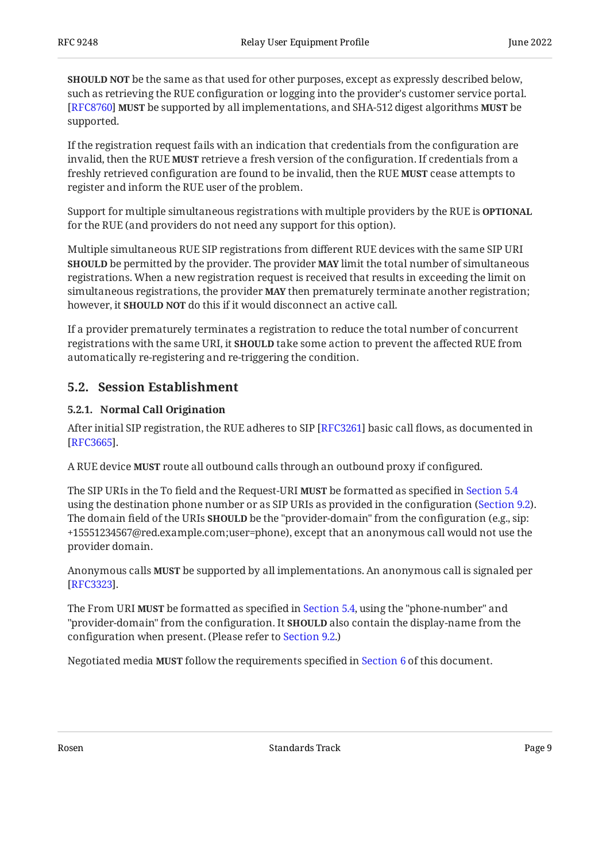**SHOULD NOT** be the same as that used for other purposes, except as expressly described below, such as retrieving the RUE configuration or logging into the provider's customer service portal. be supported by all implementations, and SHA-512 digest algorithms be [[RFC8760\]](#page-34-6) **MUST MUST** supported.

If the registration request fails with an indication that credentials from the configuration are invalid, then the RUE **MUST** retrieve a fresh version of the configuration. If credentials from a freshly retrieved configuration are found to be invalid, then the RUE **MUST** cease attempts to register and inform the RUE user of the problem.

Support for multiple simultaneous registrations with multiple providers by the RUE is **OPTIONAL** for the RUE (and providers do not need any support for this option).

Multiple simultaneous RUE SIP registrations from different RUE devices with the same SIP URI **SHOULD** be permitted by the provider. The provider **MAY** limit the total number of simultaneous registrations. When a new registration request is received that results in exceeding the limit on simultaneous registrations, the provider **MAY** then prematurely terminate another registration; however, it **SHOULD NOT** do this if it would disconnect an active call.

If a provider prematurely terminates a registration to reduce the total number of concurrent registrations with the same URI, it **SHOULD** take some action to prevent the affected RUE from automatically re-registering and re-triggering the condition.

### <span id="page-8-1"></span><span id="page-8-0"></span>**[5.2. Session Establishment](#page-8-0)**

### **[5.2.1. Normal Call Origination](#page-8-1)**

After initial SIP registration, the RUE adheres to SIP [RFC3261] basic call flows, as documented in . [[RFC3665\]](#page-35-5)

A RUE device **MUST** route all outbound calls through an outbound proxy if configured.

The SIP URIs in the To field and the Request-URI **MUST** be formatted as specified in [Section 5.4](#page-11-2) using the destination phone number or as SIP URIs as provided in the configuration ([Section 9.2](#page-17-0)). The domain field of the URIs **SHOULD** be the "provider-domain" from the configuration (e.g., sip: +15551234567@red.example.com;user=phone), except that an anonymous call would not use the provider domain.

Anonymous calls **MUST** be supported by all implementations. An anonymous call is signaled per . [[RFC3323\]](#page-31-3)

The From URI **MUST** be formatted as specified in [Section 5.4](#page-11-2), using the "phone-number" and "provider-domain" from the configuration. It **SHOULD** also contain the display-name from the configuration when present. (Please refer to [Section 9.2.](#page-17-0))

Negotiated media **MUST** follow the requirements specified in [Section 6](#page-12-1) of this document.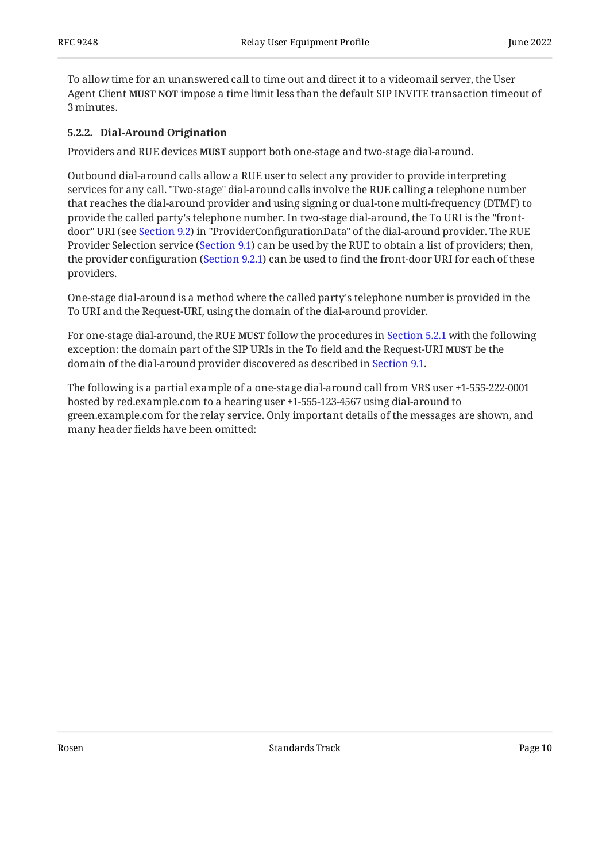To allow time for an unanswered call to time out and direct it to a videomail server, the User Agent Client **MUST NOT** impose a time limit less than the default SIP INVITE transaction timeout of 3 minutes.

#### <span id="page-9-0"></span>**[5.2.2. Dial-Around Origination](#page-9-0)**

Providers and RUE devices **MUST** support both one-stage and two-stage dial-around.

Outbound dial-around calls allow a RUE user to select any provider to provide interpreting services for any call. "Two-stage" dial-around calls involve the RUE calling a telephone number that reaches the dial-around provider and using signing or dual-tone multi-frequency (DTMF) to provide the called party's telephone number. In two-stage dial-around, the To URI is the "frontdoor" URI (see [Section 9.2\)](#page-17-0) in "ProviderConfigurationData" of the dial-around provider. The RUE Provider Selection service ([Section 9.1](#page-16-0)) can be used by the RUE to obtain a list of providers; then, the provider configuration ([Section 9.2.1\)](#page-18-0) can be used to find the front-door URI for each of these providers.

One-stage dial-around is a method where the called party's telephone number is provided in the To URI and the Request-URI, using the domain of the dial-around provider.

For one-stage dial-around, the RUE **MUST** follow the procedures in [Section 5.2.1](#page-8-1) with the following exception: the domain part of the SIP URIs in the To field and the Request-URI **MUST** be the domain of the dial-around provider discovered as described in [Section 9.1.](#page-16-0)

<span id="page-9-1"></span>The following is a partial example of a one-stage dial-around call from VRS user +1-555-222-0001 hosted by red.example.com to a hearing user +1-555-123-4567 using dial-around to green.example.com for the relay service. Only important details of the messages are shown, and many header fields have been omitted: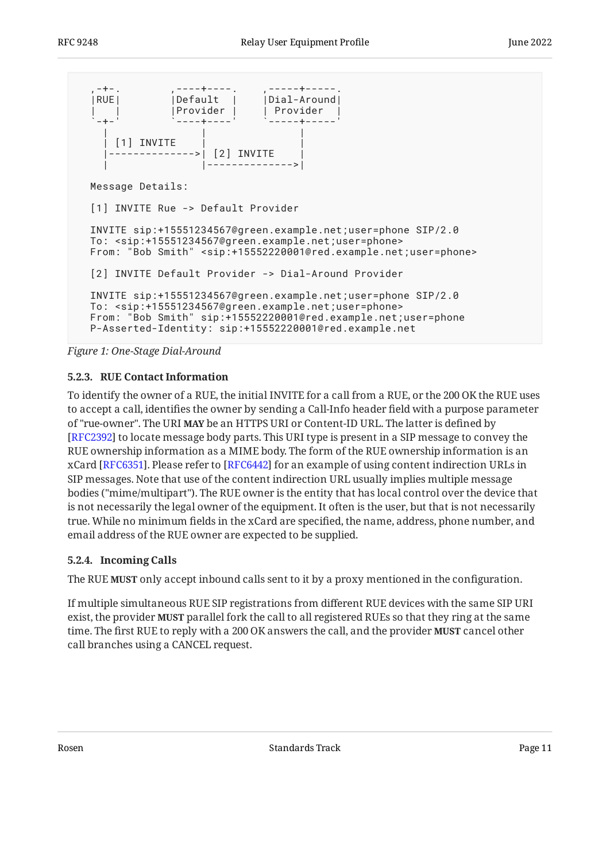```
-+-. ,----+----.<br>RUE| |Default |
   |RUE| |Default | |Dial-Around|
                | | |Provider | | Provider |
 `-+-' `----+----' `-----+-----'
 | | |
     [1] INVITE
                ---->| [2] INVITE
                     | |-------------->|
  Message Details:
  [1] INVITE Rue -> Default Provider
  INVITE sip:+15551234567@green.example.net;user=phone SIP/2.0
  To: <sip:+15551234567@green.example.net;user=phone>
  From: "Bob Smith" <sip:+15552220001@red.example.net;user=phone>
  [2] INVITE Default Provider -> Dial-Around Provider
  INVITE sip:+15551234567@green.example.net;user=phone SIP/2.0
  To: <sip:+15551234567@green.example.net;user=phone>
  From: "Bob Smith" sip:+15552220001@red.example.net;user=phone
  P-Asserted-Identity: sip:+15552220001@red.example.net
```
<span id="page-10-0"></span>*[Figure 1:](#page-10-2) [One-Stage Dial-Around](#page-9-1)* 

#### **[5.2.3. RUE Contact Information](#page-10-0)**

To identify the owner of a RUE, the initial INVITE for a call from a RUE, or the 200 OK the RUE uses to accept a call, identifies the owner by sending a Call-Info header field with a purpose parameter of "rue-owner". The URI **MAY** be an HTTPS URI or Content-ID URL. The latter is defined by [[RFC2392\]](#page-30-4) to locate message body parts. This URI type is present in a SIP message to convey the RUE ownership information as a MIME body. The form of the RUE ownership information is an xCard [RFC6351]. Please refer to [RFC6442] for an example of using content indirection URLs in SIP messages. Note that use of the content indirection URL usually implies multiple message bodies ("mime/multipart"). The RUE owner is the entity that has local control over the device that is not necessarily the legal owner of the equipment. It often is the user, but that is not necessarily true. While no minimum fields in the xCard are specified, the name, address, phone number, and email address of the RUE owner are expected to be supplied.

### <span id="page-10-1"></span>**[5.2.4. Incoming Calls](#page-10-1)**

The RUE **MUST** only accept inbound calls sent to it by a proxy mentioned in the configuration.

If multiple simultaneous RUE SIP registrations from different RUE devices with the same SIP URI exist, the provider **MUST** parallel fork the call to all registered RUEs so that they ring at the same time. The first RUE to reply with a 200 OK answers the call, and the provider **MUST** cancel other call branches using a CANCEL request.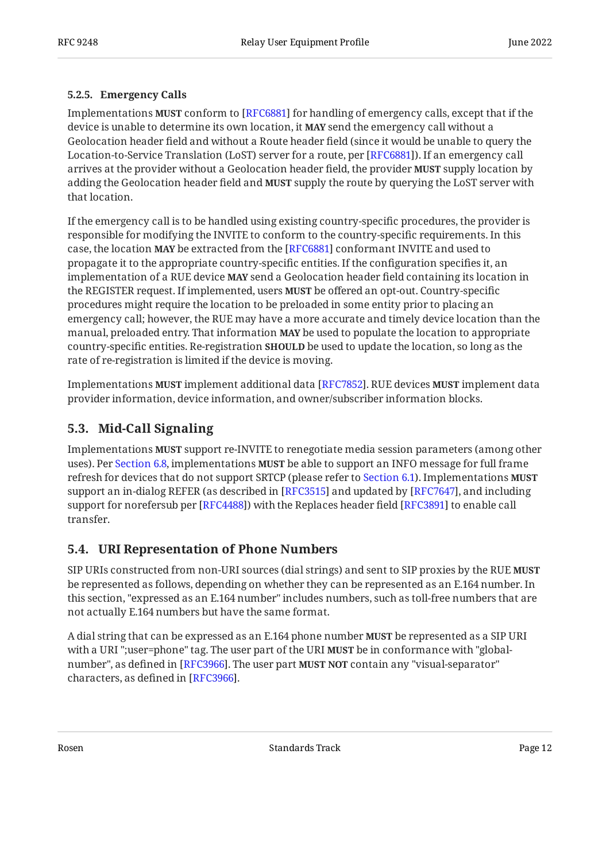#### <span id="page-11-0"></span>**[5.2.5. Emergency Calls](#page-11-0)**

Implementations **MUST** conform to [RFC6881] for handling of emergency calls, except that if the device is unable to determine its own location, it MAY send the emergency call without a Geolocation header field and without a Route header field (since it would be unable to query the Location-to-Service Translation (LoST) server for a route, per [RFC6881]). If an emergency call arrives at the provider without a Geolocation header field, the provider **MUST** supply location by adding the Geolocation header field and MUST supply the route by querying the LoST server with that location.

If the emergency call is to be handled using existing country-specific procedures, the provider is responsible for modifying the INVITE to conform to the country-specific requirements. In this case, the location MAY be extracted from the [RFC6881] conformant INVITE and used to propagate it to the appropriate country-specific entities. If the configuration specifies it, an implementation of a RUE device **MAY** send a Geolocation header field containing its location in the REGISTER request. If implemented, users **MUST** be offered an opt-out. Country-specific procedures might require the location to be preloaded in some entity prior to placing an emergency call; however, the RUE may have a more accurate and timely device location than the manual, preloaded entry. That information **MAY** be used to populate the location to appropriate country-specific entities. Re-registration **SHOULD** be used to update the location, so long as the rate of re-registration is limited if the device is moving.

Implementations **MUST** implement additional data [RFC7852]. RUE devices **MUST** implement data provider information, device information, and owner/subscriber information blocks.

### <span id="page-11-1"></span>**[5.3. Mid-Call Signaling](#page-11-1)**

Implementations **MUST** support re-INVITE to renegotiate media session parameters (among other uses). Per [Section 6.8](#page-14-0), implementations MUST be able to support an INFO message for full frame refresh for devices that do not support SRTCP (please refer to [Section 6.1\)](#page-12-2). Implementations **MUST** support an in-dialog REFER (as described in [RFC3515] and updated by [RFC7647], and including support for norefersub per [RFC4488]) with the Replaces header field [RFC3891] to enable call transfer.

### <span id="page-11-2"></span>**[5.4. URI Representation of Phone Numbers](#page-11-2)**

SIP URIs constructed from non-URI sources (dial strings) and sent to SIP proxies by the RUE **MUST** be represented as follows, depending on whether they can be represented as an E.164 number. In this section, "expressed as an E.164 number" includes numbers, such as toll-free numbers that are not actually E.164 numbers but have the same format.

A dial string that can be expressed as an E.164 phone number **MUST** be represented as a SIP URI with a URI ";user=phone" tag. The user part of the URI **MUST** be in conformance with "globalnumber", as defined in [RFC3966]. The user part **MUST NOT** contain any "visual-separator" characters, as defined in [RFC3966].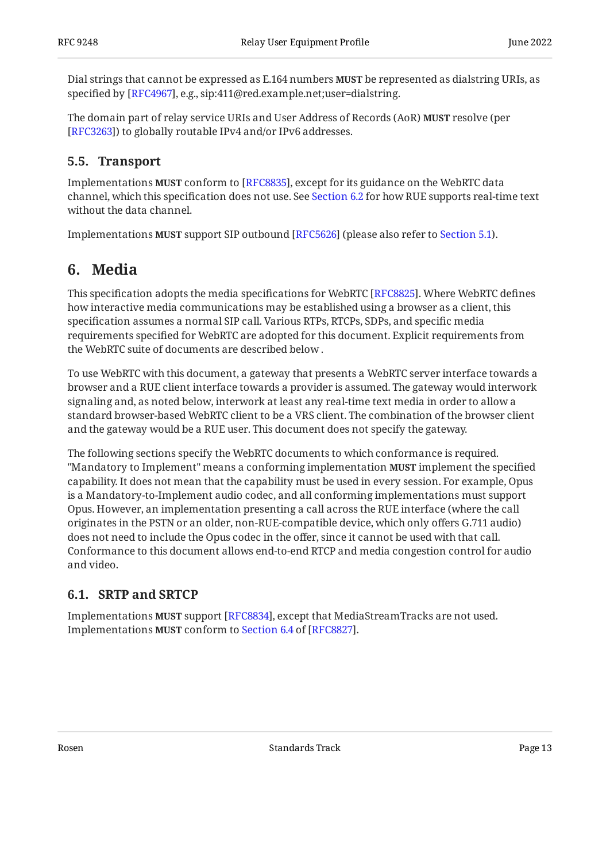Dial strings that cannot be expressed as E.164 numbers **MUST** be represented as dialstring URIs, as specified by [RFC4967], e.g., sip:411@red.example.net;user=dialstring.

The domain part of relay service URIs and User Address of Records (AoR) **MUST** resolve (per [[RFC3263\]](#page-31-0)) to globally routable IPv4 and/or IPv6 addresses.

### <span id="page-12-0"></span>**[5.5. Transport](#page-12-0)**

Implementations **MUST** conform to [RFC8835], except for its guidance on the WebRTC data channel, which this specification does not use. See [Section 6.2](#page-13-0) for how RUE supports real-time text without the data channel.

<span id="page-12-1"></span>Implementations **MUST** support SIP outbound [RFC5626] (please also refer to [Section 5.1\)](#page-7-0).

# **[6. Media](#page-12-1)**

This specification adopts the media specifications for WebRTC [RFC8825]. Where WebRTC defines how interactive media communications may be established using a browser as a client, this specification assumes a normal SIP call. Various RTPs, RTCPs, SDPs, and specific media requirements specified for WebRTC are adopted for this document. Explicit requirements from the WebRTC suite of documents are described below .

To use WebRTC with this document, a gateway that presents a WebRTC server interface towards a browser and a RUE client interface towards a provider is assumed. The gateway would interwork signaling and, as noted below, interwork at least any real-time text media in order to allow a standard browser-based WebRTC client to be a VRS client. The combination of the browser client and the gateway would be a RUE user. This document does not specify the gateway.

The following sections specify the WebRTC documents to which conformance is required. "Mandatory to Implement" means a conforming implementation **MUST** implement the specified capability. It does not mean that the capability must be used in every session. For example, Opus is a Mandatory-to-Implement audio codec, and all conforming implementations must support Opus. However, an implementation presenting a call across the RUE interface (where the call originates in the PSTN or an older, non-RUE-compatible device, which only offers G.711 audio) does not need to include the Opus codec in the offer, since it cannot be used with that call. Conformance to this document allows end-to-end RTCP and media congestion control for audio and video.

### <span id="page-12-2"></span>**[6.1. SRTP and SRTCP](#page-12-2)**

Implementations **MUST** support [RFC8834], except that MediaStreamTracks are not used. ImplementationsMUST conform to Section 6.4 of [RFC8827].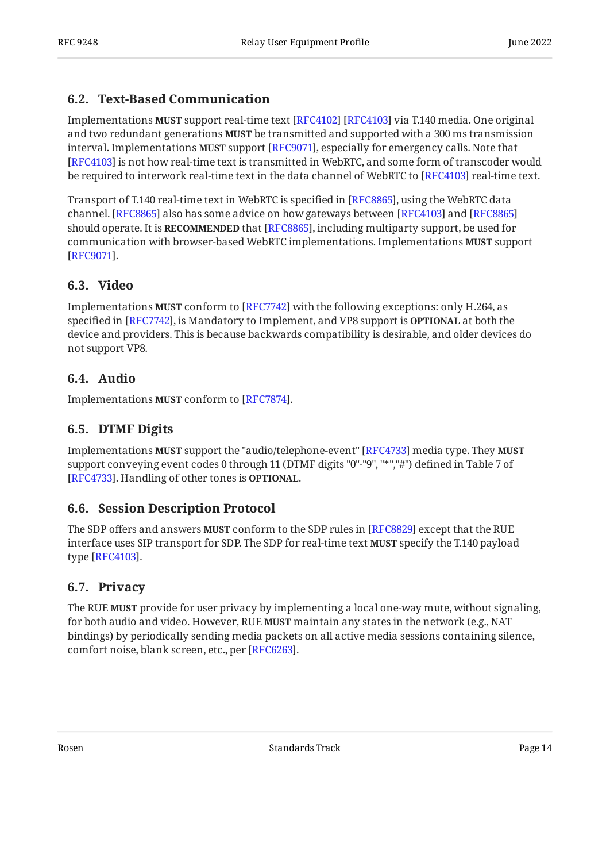### <span id="page-13-0"></span>**[6.2. Text-Based Communication](#page-13-0)**

Implementations **MUST** support real-time text [RFC4102] [RFC4103] via T.140 media. One original and two redundant generations **MUST** be transmitted and supported with a 300 ms transmission interval. Implementations **MUST** support [RFC9071], especially for emergency calls. Note that [[RFC4103\]](#page-32-8) is not how real-time text is transmitted in WebRTC, and some form of transcoder would be required to interwork real-time text in the data channel of WebRTC to [RFC4103] real-time text.

Transport of T.140 real-time text in WebRTC is specified in [RFC8865], using the WebRTC data channel. [[RFC8865\]](#page-34-11) also has some advice on how gateways between [RFC4103] and [RFC8865] should operate. It is **RECOMMENDED** that [RFC8865], including multiparty support, be used for communication with browser-based WebRTC implementations. Implementations **MUST** support . [[RFC9071\]](#page-35-6)

### <span id="page-13-1"></span>**[6.3. Video](#page-13-1)**

Implementations **MUST** conform to [RFC7742] with the following exceptions: only H.264, as specified in [RFC7742], is Mandatory to Implement, and VP8 support is **OPTIONAL** at both the device and providers. This is because backwards compatibility is desirable, and older devices do not support VP8.

### <span id="page-13-2"></span>**[6.4. Audio](#page-13-2)**

<span id="page-13-3"></span>Implementations **MUST** conform to [RFC7874].

### **[6.5. DTMF Digits](#page-13-3)**

Implementations **MUST** support the "audio/telephone-event" [RFC4733] media type. They **MUST** support conveying event codes 0 through 11 (DTMF digits "0"-"9", "\*","#") defined in Table 7 of [[RFC4733\]](#page-32-9). Handling of other tones is **OPTIONAL**.

### <span id="page-13-4"></span>**[6.6. Session Description Protocol](#page-13-4)**

The SDP offers and answers **MUST** conform to the SDP rules in [RFC8829] except that the RUE interface uses SIP transport for SDP. The SDP for real-time text **MUST** specify the T.140 payload type [RFC4103].

### <span id="page-13-5"></span>**[6.7. Privacy](#page-13-5)**

The RUE **MUST** provide for user privacy by implementing a local one-way mute, without signaling, for both audio and video. However, RUE **MUST** maintain any states in the network (e.g., NAT bindings) by periodically sending media packets on all active media sessions containing silence, comfort noise, blank screen, etc., per [RFC6263].

Rosen **Rosen Standards Track** Page 14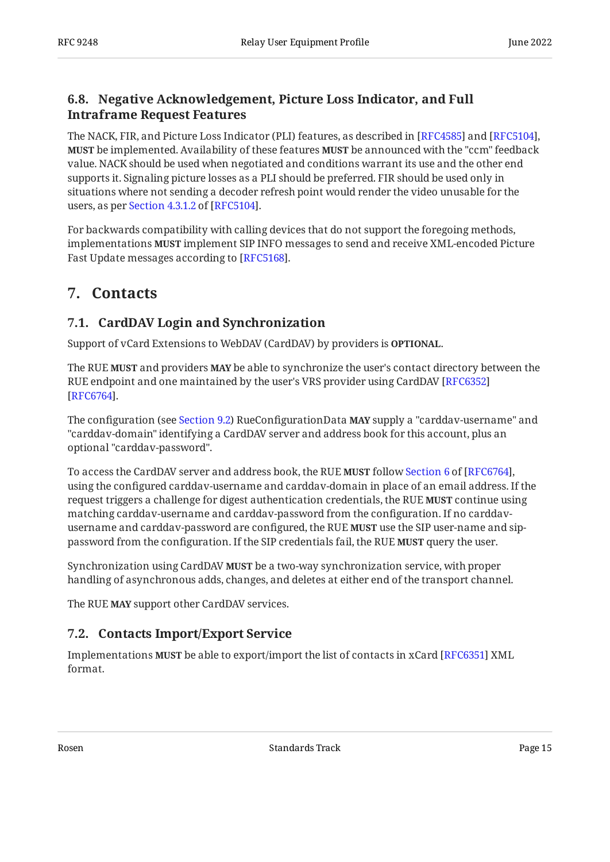### <span id="page-14-0"></span>**[6.8. Negative Acknowledgement, Picture Loss Indicator, and Full](#page-14-0) [Intraframe Request Features](#page-14-0)**

The NACK, FIR, and Picture Loss Indicator (PLI) features, as described in [RFC4585] and [RFC5104], **MUST** be implemented. Availability of these features **MUST** be announced with the "ccm" feedback value. NACK should be used when negotiated and conditions warrant its use and the other end supports it. Signaling picture losses as a PLI should be preferred. FIR should be used only in situations where not sending a decoder refresh point would render the video unusable for the users,as per Section 4.3.1.2 of [RFC5104].

For backwards compatibility with calling devices that do not support the foregoing methods, implementations **MUST** implement SIP INFO messages to send and receive XML-encoded Picture Fast Update messages according to [RFC5168].

# <span id="page-14-2"></span><span id="page-14-1"></span>**[7. Contacts](#page-14-1)**

### **[7.1. CardDAV Login and Synchronization](#page-14-2)**

Support of vCard Extensions to WebDAV (CardDAV) by providers is **OPTIONAL**.

The RUE **MUST** and providers **MAY** be able to synchronize the user's contact directory between the RUE endpoint and one maintained by the user's VRS provider using CardDAV [[RFC6352\]](#page-33-11) . [[RFC6764\]](#page-33-12)

The configuration (see [Section 9.2\)](#page-17-0) RueConfigurationData **MAY** supply a "carddav-username" and "carddav-domain" identifying a CardDAV server and address book for this account, plus an optional "carddav-password".

Toaccess the CardDAV server and address book, the RUE **MUST** follow Section 6 of [RFC6764], using the configured carddav-username and carddav-domain in place of an email address. If the request triggers a challenge for digest authentication credentials, the RUE **MUST** continue using matching carddav-username and carddav-password from the configuration. If no carddavusername and carddav-password are configured, the RUE **MUST** use the SIP user-name and sippassword from the configuration. If the SIP credentials fail, the RUE **MUST** query the user.

Synchronization using CardDAV **MUST** be a two-way synchronization service, with proper handling of asynchronous adds, changes, and deletes at either end of the transport channel.

<span id="page-14-3"></span>The RUE **MAY** support other CardDAV services.

### **[7.2. Contacts Import/Export Service](#page-14-3)**

Implementations **MUST** be able to export/import the list of contacts in xCard [RFC6351] XML format.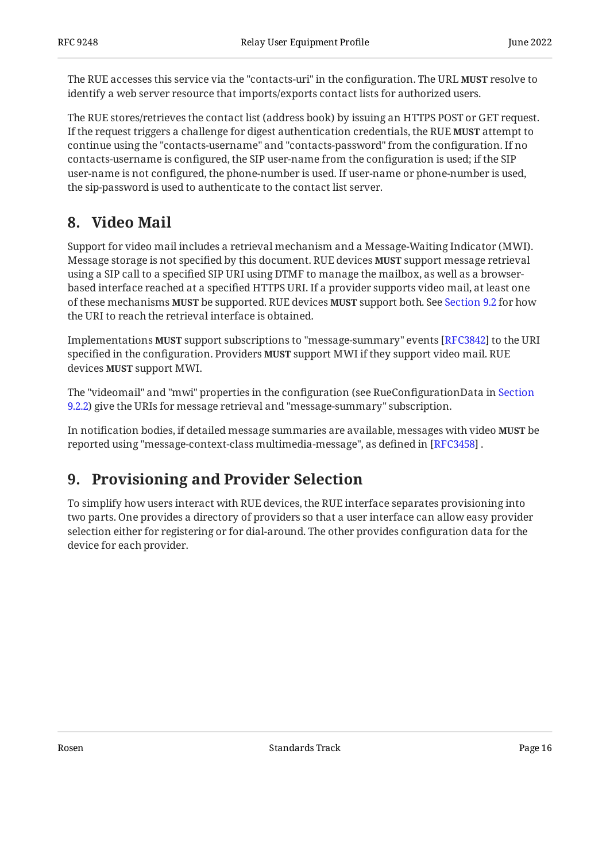The RUE accesses this service via the "contacts-uri" in the configuration. The URL **MUST** resolve to identify a web server resource that imports/exports contact lists for authorized users.

The RUE stores/retrieves the contact list (address book) by issuing an HTTPS POST or GET request. If the request triggers a challenge for digest authentication credentials, the RUE **MUST** attempt to continue using the "contacts-username" and "contacts-password" from the configuration. If no contacts-username is configured, the SIP user-name from the configuration is used; if the SIP user-name is not configured, the phone-number is used. If user-name or phone-number is used, the sip-password is used to authenticate to the contact list server.

# <span id="page-15-0"></span>**[8. Video Mail](#page-15-0)**

Support for video mail includes a retrieval mechanism and a Message-Waiting Indicator (MWI). Message storage is not specified by this document. RUE devices **MUST** support message retrieval using a SIP call to a specified SIP URI using DTMF to manage the mailbox, as well as a browserbased interface reached at a specified HTTPS URI. If a provider supports video mail, at least one of these mechanisms MUST be supported. RUE devices MUST support both. See [Section 9.2](#page-17-0) for how the URI to reach the retrieval interface is obtained.

Implementations **MUST** support subscriptions to "message-summary" events [RFC3842] to the URI specified in the configuration. Providers **MUST** support MWI if they support video mail. RUE devices **MUST** support MWI.

The "videomail" and "mwi" properties in the configuration (see RueConfigurationData in [Section](#page-18-1) [9.2.2](#page-18-1)) give the URIs for message retrieval and "message-summary" subscription.

In notification bodies, if detailed message summaries are available, messages with video **MUST** be reported using "message-context-class multimedia-message", as defined in [RFC3458] .

# <span id="page-15-1"></span>**[9. Provisioning and Provider Selection](#page-15-1)**

To simplify how users interact with RUE devices, the RUE interface separates provisioning into two parts. One provides a directory of providers so that a user interface can allow easy provider selection either for registering or for dial-around. The other provides configuration data for the device for each provider.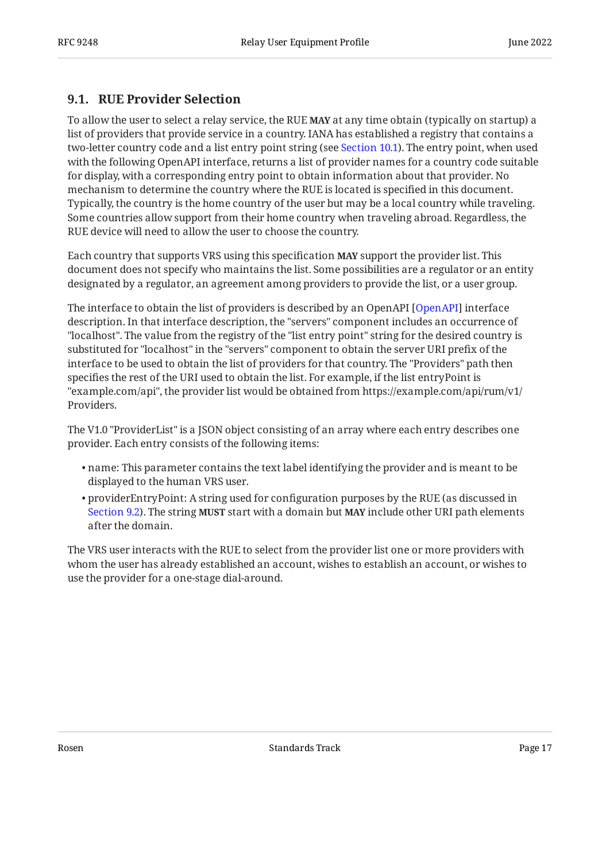### <span id="page-16-0"></span>**[9.1. RUE Provider Selection](#page-16-0)**

To allow the user to select a relay service, the RUE **MAY** at any time obtain (typically on startup) a list of providers that provide service in a country. IANA has established a registry that contains a two-letter country code and a list entry point string (see [Section 10.1\)](#page-29-1). The entry point, when used with the following OpenAPI interface, returns a list of provider names for a country code suitable for display, with a corresponding entry point to obtain information about that provider. No mechanism to determine the country where the RUE is located is specified in this document. Typically, the country is the home country of the user but may be a local country while traveling. Some countries allow support from their home country when traveling abroad. Regardless, the RUE device will need to allow the user to choose the country.

Each country that supports VRS using this specification **MAY** support the provider list. This document does not specify who maintains the list. Some possibilities are a regulator or an entity designated by a regulator, an agreement among providers to provide the list, or a user group.

The interface to obtain the list of providers is described by an OpenAPI [OpenAPI] interface description. In that interface description, the "servers" component includes an occurrence of "localhost". The value from the registry of the "list entry point" string for the desired country is substituted for "localhost" in the "servers" component to obtain the server URI prefix of the interface to be used to obtain the list of providers for that country. The "Providers" path then specifies the rest of the URI used to obtain the list. For example, if the list entryPoint is "example.com/api", the provider list would be obtained from https://example.com/api/rum/v1/ Providers.

The V1.0 "ProviderList" is a JSON object consisting of an array where each entry describes one provider. Each entry consists of the following items:

- name: This parameter contains the text label identifying the provider and is meant to be displayed to the human VRS user.
- $\bullet$  providerEntryPoint: A string used for configuration purposes by the RUE (as discussed in [Section 9.2](#page-17-0)). The string **MUST** start with a domain but **MAY** include other URI path elements after the domain.

<span id="page-16-1"></span>The VRS user interacts with the RUE to select from the provider list one or more providers with whom the user has already established an account, wishes to establish an account, or wishes to use the provider for a one-stage dial-around.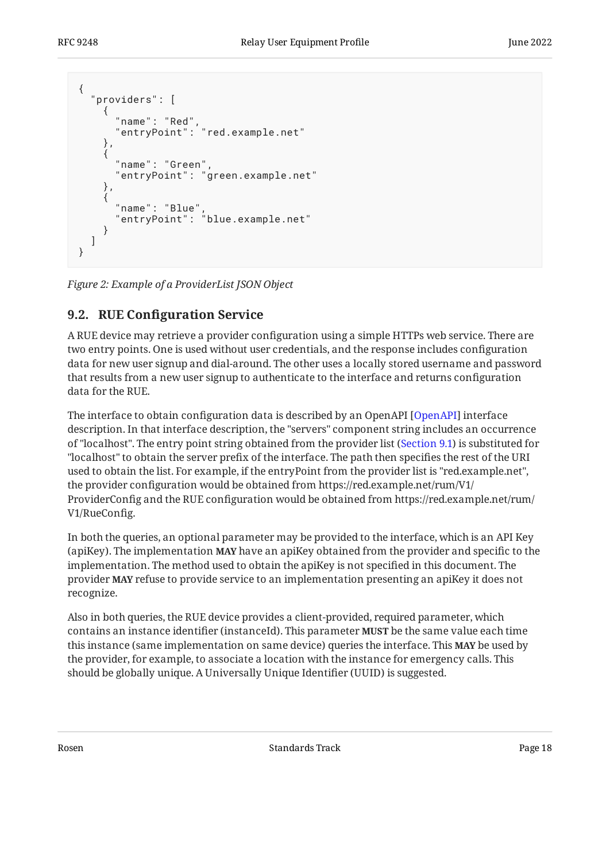```
{
    "providers": [
\{ \{ \} "name": "Red",
 "entryPoint": "red.example.net"
         },
\{ \cdot \cdot \cdot \cdot \cdot \cdot \cdot \cdot \cdot \cdot \cdot \cdot \cdot \cdot \cdot \cdot \cdot \cdot \cdot \cdot \cdot \cdot \cdot \cdot \cdot \cdot \cdot \cdot \cdot \cdot \cdot \cdot \cdot \cdot \cdot \cdot 
             "name": "Green",
             "entryPoint": "green.example.net"
         },
          {
 "name": "Blue",
 "entryPoint": "blue.example.net"
         }
     ]
}
```
<span id="page-17-0"></span>*[Figure 2:](#page-17-1) [Example of a ProviderList JSON Object](#page-16-1)* 

### **[9.2. R](#page-17-0)UE Confi[guration Service](#page-17-0)**

A RUE device may retrieve a provider configuration using a simple HTTPs web service. There are two entry points. One is used without user credentials, and the response includes configuration data for new user signup and dial-around. The other uses a locally stored username and password that results from a new user signup to authenticate to the interface and returns configuration data for the RUE.

The interface to obtain configuration data is described by an OpenAPI [\[OpenAPI](#page-30-5)] interface description. In that interface description, the "servers" component string includes an occurrence of "localhost". The entry point string obtained from the provider list [\(Section 9.1](#page-16-0)) is substituted for "localhost" to obtain the server prefix of the interface. The path then specifies the rest of the URI used to obtain the list. For example, if the entryPoint from the provider list is "red.example.net", the provider configuration would be obtained from https://red.example.net/rum/V1/ ProviderConfig and the RUE configuration would be obtained from https://red.example.net/rum/ V1/RueConfig.

In both the queries, an optional parameter may be provided to the interface, which is an API Key (apiKey). The implementation **MAY** have an apiKey obtained from the provider and specific to the implementation. The method used to obtain the apiKey is not specified in this document. The provider **MAY** refuse to provide service to an implementation presenting an apiKey it does not recognize.

Also in both queries, the RUE device provides a client-provided, required parameter, which contains an instance identifier (instanceId). This parameter **MUST** be the same value each time this instance (same implementation on same device) queries the interface. This **MAY** be used by the provider, for example, to associate a location with the instance for emergency calls. This should be globally unique. A Universally Unique Identifier (UUID) is suggested.

Rosen and the Standards Track Contract Page 18 and the Standards Track Contract Page 18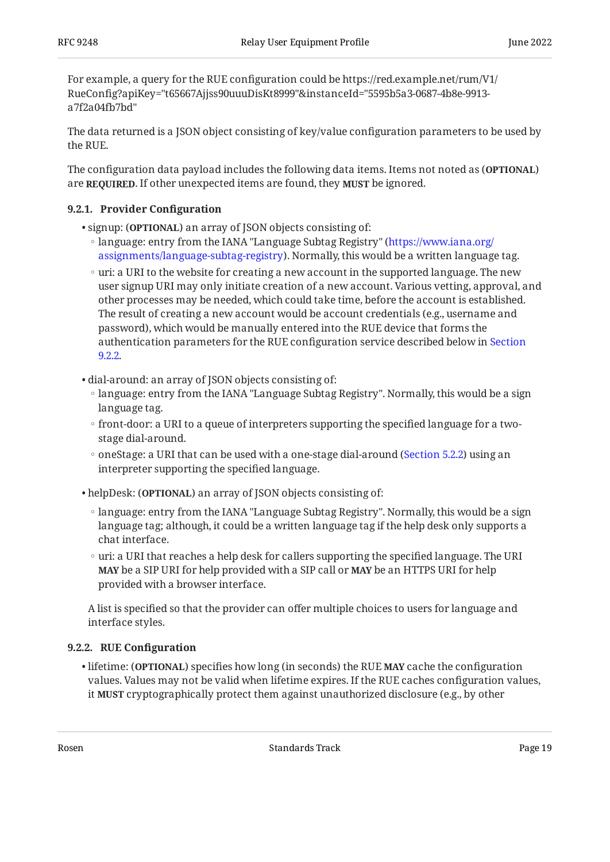For example, a query for the RUE configuration could be https://red.example.net/rum/V1/ RueConfig?apiKey="t65667Ajjss90uuuDisKt8999"&instanceId="5595b5a3-0687-4b8e-9913 a7f2a04fb7bd"

The data returned is a JSON object consisting of key/value configuration parameters to be used by the RUE.

The configuration data payload includes the following data items. Items not noted as (**OPTIONAL**) are **REQUIRED**. If other unexpected items are found, they **MUST** be ignored.

### <span id="page-18-0"></span>**[9.2.1. Provider Con](#page-18-0)figuration**

- signup: (**OPTIONAL**) an array of JSON objects consisting of:
	- language: entry from the IANA "Language Subtag Registry" ( [https://www.iana.org/](https://www.iana.org/assignments/language-subtag-registry) [assignments/language-subtag-registry](https://www.iana.org/assignments/language-subtag-registry)). Normally, this would be a written language tag.
	- uri: a URI to the website for creating a new account in the supported language. The new user signup URI may only initiate creation of a new account. Various vetting, approval, and other processes may be needed, which could take time, before the account is established. The result of creating a new account would be account credentials (e.g., username and password), which would be manually entered into the RUE device that forms the authentication parameters for the RUE configuration service described below in [Section](#page-18-1) [9.2.2](#page-18-1).
- dial-around: an array of JSON objects consisting of:
	- language: entry from the IANA "Language Subtag Registry". Normally, this would be a sign language tag.
	- front-door: a URI to a queue of interpreters supporting the specified language for a two-◦ stage dial-around.
	- oneStage: a URI that can be used with a one-stage dial-around [\(Section 5.2.2](#page-9-0)) using an interpreter supporting the specified language.
- helpDesk: (**OPTIONAL**) an array of JSON objects consisting of:
	- language: entry from the IANA "Language Subtag Registry". Normally, this would be a sign language tag; although, it could be a written language tag if the help desk only supports a chat interface.
	- uri: a URI that reaches a help desk for callers supporting the specified language. The URI **MAY** be a SIP URI for help provided with a SIP call or **MAY** be an HTTPS URI for help provided with a browser interface.

A list is specified so that the provider can offer multiple choices to users for language and interface styles.

#### <span id="page-18-1"></span>**[9.2.2. R](#page-18-1)UE Confi[guration](#page-18-1)**

• lifetime: (OPTIONAL) specifies how long (in seconds) the RUE MAY cache the configuration values. Values may not be valid when lifetime expires. If the RUE caches configuration values, it **MUST** cryptographically protect them against unauthorized disclosure (e.g., by other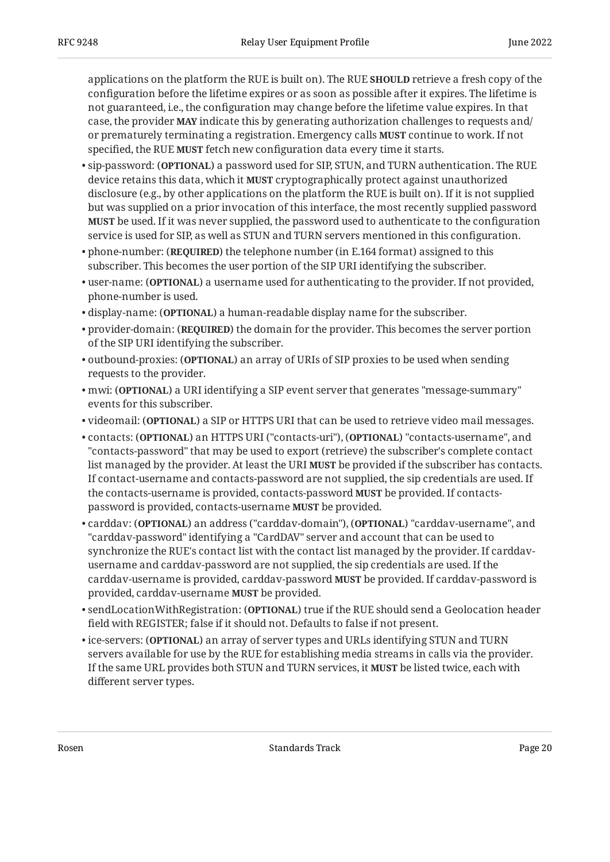applications on the platform the RUE is built on). The RUE **SHOULD** retrieve a fresh copy of the configuration before the lifetime expires or as soon as possible after it expires. The lifetime is not guaranteed, i.e., the configuration may change before the lifetime value expires. In that case, the provider **MAY** indicate this by generating authorization challenges to requests and/ or prematurely terminating a registration. Emergency calls **MUST** continue to work. If not specified, the RUE **MUST** fetch new configuration data every time it starts.

- sip-password: (**OPTIONAL**) a password used for SIP, STUN, and TURN authentication. The RUE device retains this data, which it **MUST** cryptographically protect against unauthorized disclosure (e.g., by other applications on the platform the RUE is built on). If it is not supplied but was supplied on a prior invocation of this interface, the most recently supplied password be used. If it was never supplied, the password used to authenticate to the configuration **MUST** service is used for SIP, as well as STUN and TURN servers mentioned in this configuration.
- phone-number: (**REQUIRED**) the telephone number (in E.164 format) assigned to this subscriber. This becomes the user portion of the SIP URI identifying the subscriber.
- $\bullet$  user-name: (OPTIONAL) a username used for authenticating to the provider. If not provided, phone-number is used.
- display-name: (OPTIONAL) a human-readable display name for the subscriber.
- provider-domain: (**REQUIRED**) the domain for the provider. This becomes the server portion of the SIP URI identifying the subscriber.
- <code>outbound-proxies: (OPTIONAL)</code> an array of URIs of SIP proxies to be used when sending requests to the provider.
- $\bullet$  mwi: (OPTIONAL) a URI identifying a SIP event server that generates "message-summary" events for this subscriber.
- **v**ideomail: (OPTIONAL) a SIP or HTTPS URI that can be used to retrieve video mail messages.
- <code>contacts: (OPTIONAL)</code> an HTTPS URI ("contacts-uri"), (OPTIONAL) "contacts-username", and "contacts-password" that may be used to export (retrieve) the subscriber's complete contact list managed by the provider. At least the URI **MUST** be provided if the subscriber has contacts. If contact-username and contacts-password are not supplied, the sip credentials are used. If the contacts-username is provided, contacts-password **MUST** be provided. If contactspassword is provided, contacts-username **MUST** be provided.
- <code>carddav: (OPTIONAL)</code> an address ("carddav-domain"), (OPTIONAL) "carddav-username", and "carddav-password" identifying a "CardDAV" server and account that can be used to synchronize the RUE's contact list with the contact list managed by the provider. If carddavusername and carddav-password are not supplied, the sip credentials are used. If the carddav-username is provided, carddav-password **MUST** be provided. If carddav-password is provided, carddav-username MUST be provided.
- $\bullet$  sendLocationWithRegistration: (<code>OPTIONAL</code>) true if the RUE should send a Geolocation header field with REGISTER; false if it should not. Defaults to false if not present.
- ice-servers: (**OPTIONAL**) an array of server types and URLs identifying STUN and TURN servers available for use by the RUE for establishing media streams in calls via the provider. If the same URL provides both STUN and TURN services, it **MUST** be listed twice, each with different server types.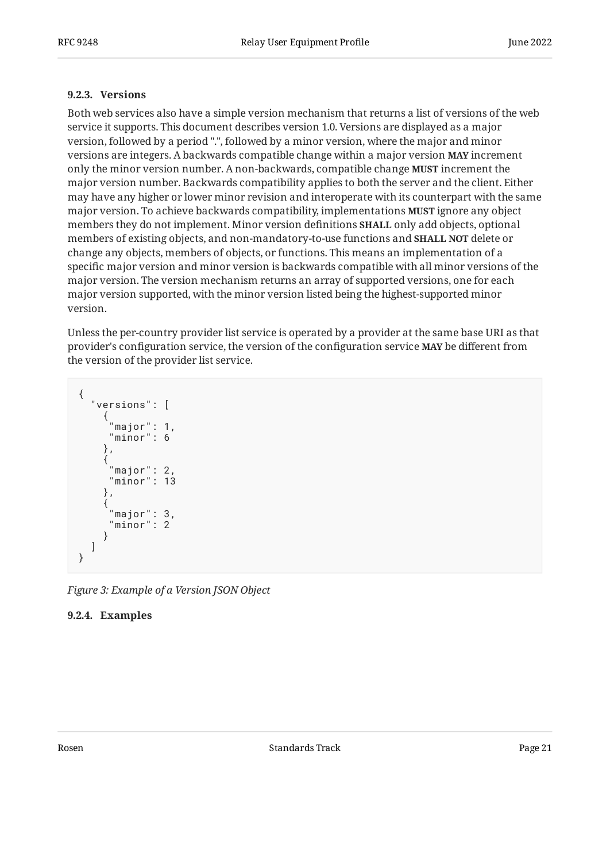#### <span id="page-20-0"></span>**[9.2.3. Versions](#page-20-0)**

Both web services also have a simple version mechanism that returns a list of versions of the web service it supports. This document describes version 1.0. Versions are displayed as a major version, followed by a period ".", followed by a minor version, where the major and minor versions are integers. A backwards compatible change within a major version **MAY** increment only the minor version number. A non-backwards, compatible change **MUST** increment the major version number. Backwards compatibility applies to both the server and the client. Either may have any higher or lower minor revision and interoperate with its counterpart with the same major version. To achieve backwards compatibility, implementations **MUST** ignore any object members they do not implement. Minor version definitions **SHALL** only add objects, optional members of existing objects, and non-mandatory-to-use functions and **SHALL NOT** delete or change any objects, members of objects, or functions. This means an implementation of a specific major version and minor version is backwards compatible with all minor versions of the major version. The version mechanism returns an array of supported versions, one for each major version supported, with the minor version listed being the highest-supported minor version.

Unless the per-country provider list service is operated by a provider at the same base URI as that provider's configuration service, the version of the configuration service **MAY** be different from the version of the provider list service.

```
{
 "versions": [
\{ \{ \}\frac{1}{2}"major": 1,
                 "minor": 6
 },
\{ \cdot \cdot \cdot \cdot \cdot \cdot \cdot \cdot \cdot \cdot \cdot \cdot \cdot \cdot \cdot \cdot \cdot \cdot \cdot \cdot \cdot \cdot \cdot \cdot \cdot \cdot \cdot \cdot \cdot \cdot \cdot \cdot \cdot \cdot \cdot \cdot 
                 "major": 2,
                 "minor": 13
 },
\{ \{ \} "major": 3,
                 "minor": 2
              }
      ]
}
```
<span id="page-20-1"></span>*[Figure 3: Example of a Version JSON Object](#page-20-2)* 

### <span id="page-20-3"></span>**[9.2.4. Examples](#page-20-1)**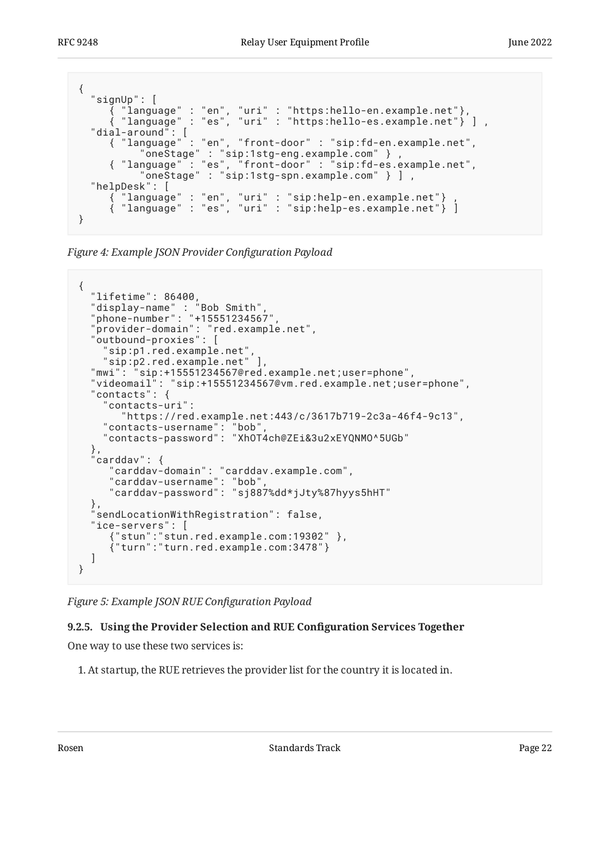```
{
  "signUp": [
 { "language" : "en", "uri" : "https:hello-en.example.net"},
 { "language" : "es", "uri" : "https:hello-es.example.net"} ] ,
 "dial-around": [
 { "language" : "en", "front-door" : "sip:fd-en.example.net",
 "oneStage" : "sip:1stg-eng.example.com" } ,
 { "language" : "es", "front-door" : "sip:fd-es.example.net",
 "oneStage" : "sip:1stg-spn.example.com" } ] ,
 "helpDesk": [
 { "language" : "en", "uri" : "sip:help-en.example.net"} ,
 { "language" : "es", "uri" : "sip:help-es.example.net"} ]
}
```
*[Figure 4:](#page-21-1) [Example JSON Provider Con](#page-20-3)figuration Payload* 

```
{
 "lifetime": 86400,
 "display-name" : "Bob Smith",
 "phone-number": "+15551234567",
 "provider-domain": "red.example.net",
 "outbound-proxies": [
     "sip:p1.red.example.net",
 "sip:p2.red.example.net" ],
 "mwi": "sip:+15551234567@red.example.net;user=phone",
 "videomail": "sip:+15551234567@vm.red.example.net;user=phone",
 "contacts": {
     "contacts-uri":
        "https://red.example.net:443/c/3617b719-2c3a-46f4-9c13",
     "contacts-username": "bob",
     "contacts-password": "XhOT4ch@ZEi&3u2xEYQNMO^5UGb"
 },
 "carddav": {
 "carddav-domain": "carddav.example.com",
 "carddav-username": "bob",
 "carddav-password": "sj887%dd*jJty%87hyys5hHT"
 },
 "sendLocationWithRegistration": false,
   "ice-servers": [
      {"stun":"stun.red.example.com:19302" },
      {"turn":"turn.red.example.com:3478"}
   ]
}
```
<span id="page-21-0"></span>*[Figure 5: Example JSON RUE Con](#page-21-2)figuration Payload* 

### **[9.2.5. Using the Provider Selection and RUE Con](#page-21-0)figuration Services Together**

One way to use these two services is:

1. At startup, the RUE retrieves the provider list for the country it is located in.

Rosen **Rosen Standards Track Page 22** Standards Track Page 22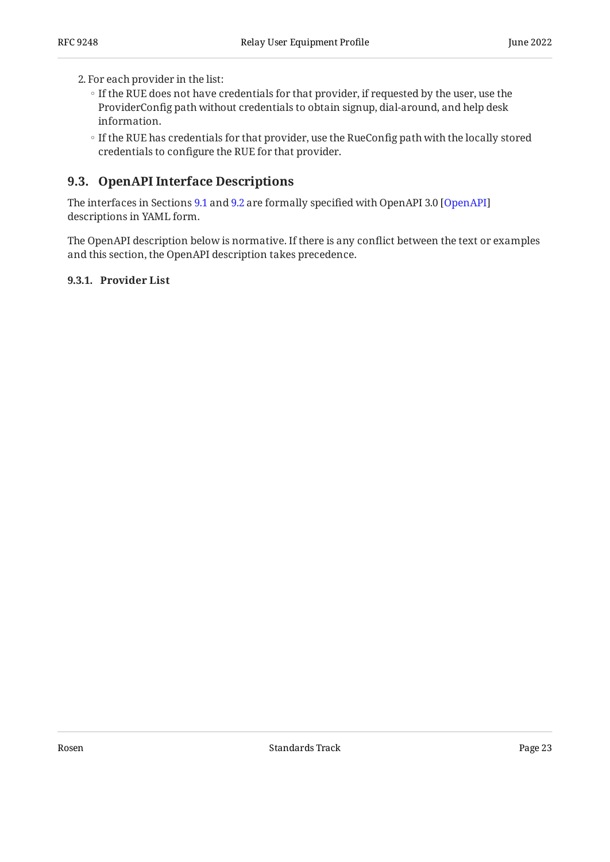2. For each provider in the list:

- If the RUE does not have credentials for that provider, if requested by the user, use the ProviderConfig path without credentials to obtain signup, dial-around, and help desk information.
- If the RUE has credentials for that provider, use the RueConfig path with the locally stored credentials to configure the RUE for that provider.

### <span id="page-22-0"></span>**[9.3. OpenAPI Interface Descriptions](#page-22-0)**

The interfaces in Sections [9.1](#page-16-0) and [9.2](#page-17-0) are formally specified with OpenAPI 3.0 [\[OpenAPI](#page-30-5)] descriptions in YAML form.

The OpenAPI description below is normative. If there is any conflict between the text or examples and this section, the OpenAPI description takes precedence.

<span id="page-22-2"></span><span id="page-22-1"></span>**[9.3.1. Provider List](#page-22-1)**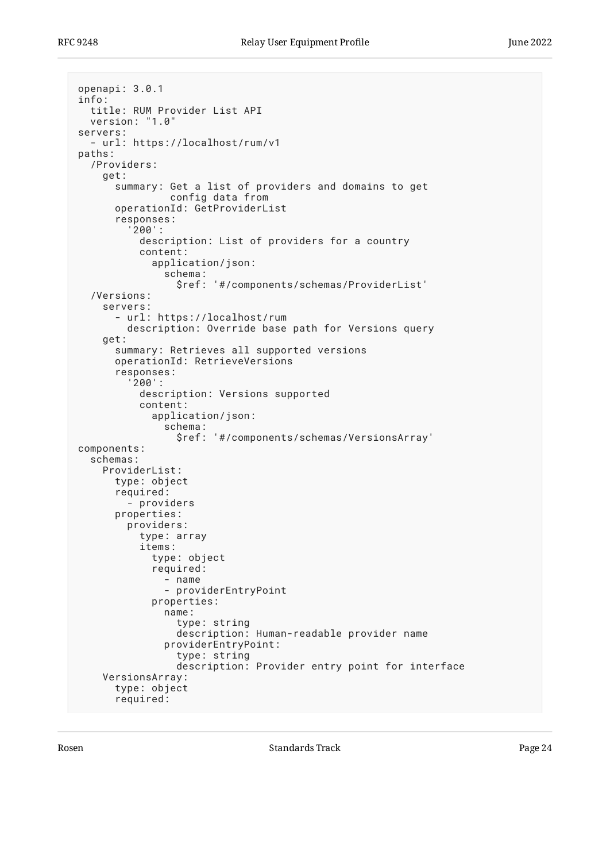```
openapi: 3.0.1
info:
   title: RUM Provider List API
   version: "1.0"
servers:
   - url: https://localhost/rum/v1
paths:
   /Providers:
     get:
       summary: Get a list of providers and domains to get
                 config data from
       operationId: GetProviderList
       responses:
          '200':
           description: List of providers for a country
            content:
              application/json:
                schema:
                  $ref: '#/components/schemas/ProviderList'
   /Versions:
     servers:
       - url: https://localhost/rum
         description: Override base path for Versions query
     get:
       summary: Retrieves all supported versions
       operationId: RetrieveVersions
       responses:
          '200':
            description: Versions supported
           content:
              application/json:
                schema:
                  $ref: '#/components/schemas/VersionsArray'
components:
   schemas:
     ProviderList:
       type: object
       required:
          - providers
       properties:
         providers:
            type: array
            items:
              type: object
              required:
                - name
                - providerEntryPoint
              properties:
                name:
                  type: string
                  description: Human-readable provider name
                providerEntryPoint:
                  type: string
                  description: Provider entry point for interface
     VersionsArray:
       type: object
       required:
```
Rosen **Rosen Standards Track Page 24** Standards Track Page 24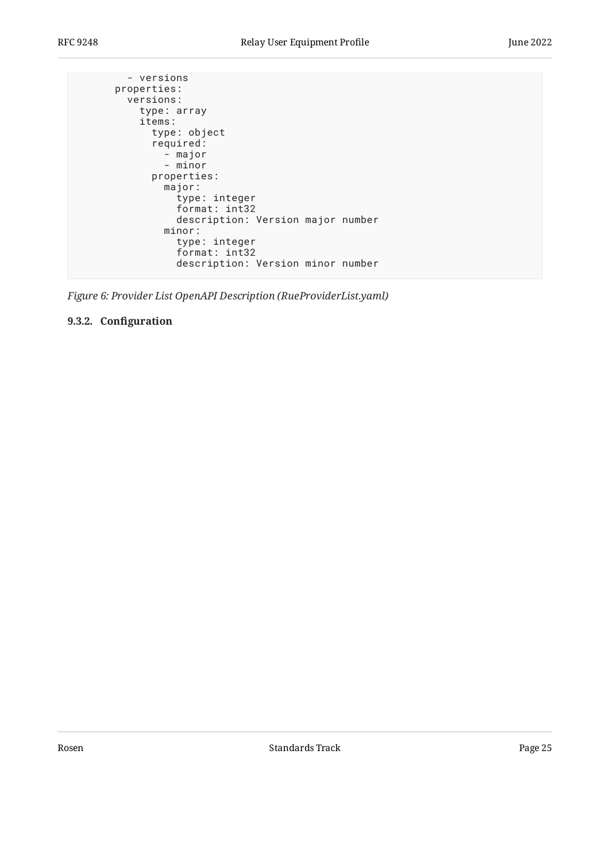```
 - versions
      properties:
        versions:
          type: array
          items:
            type: object
            required:
 - major
 - minor
            properties:
              major:
                type: integer
                format: int32
                description: Version major number
              minor:
                type: integer
                format: int32
                description: Version minor number
```
<span id="page-24-0"></span>*[Figure 6:](#page-23-0) [Provider List OpenAPI Description \(RueProviderList.yaml\)](#page-22-2)* 

#### <span id="page-24-1"></span>**[9.3.2. C](#page-24-0)onfi[guration](#page-24-0)**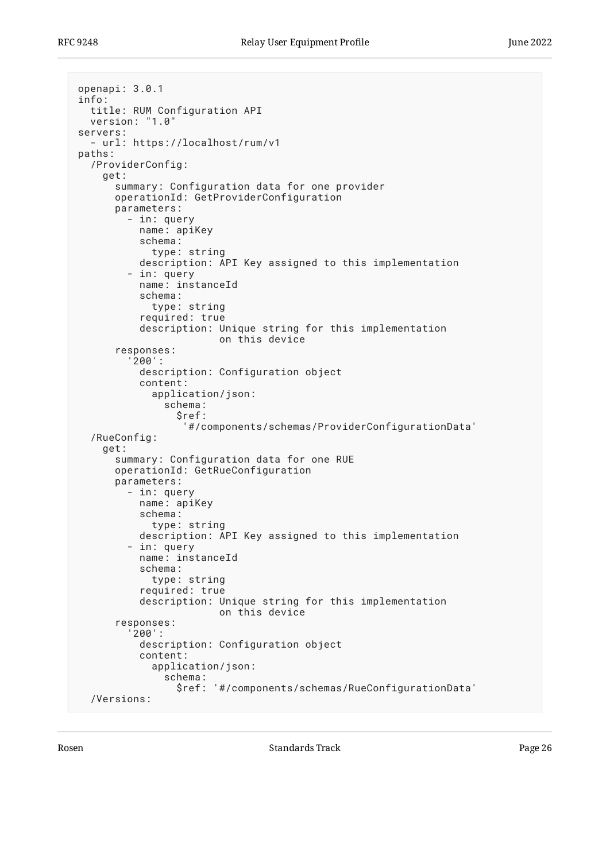```
openapi: 3.0.1
info:
   title: RUM Configuration API
   version: "1.0"
servers:
   - url: https://localhost/rum/v1
paths:
   /ProviderConfig:
     get:
       summary: Configuration data for one provider
       operationId: GetProviderConfiguration
       parameters:
         - in: query
           name: apiKey
            schema:
              type: string
           description: API Key assigned to this implementation
         - in: query
           name: instanceId
            schema:
              type: string
            required: true
           description: Unique string for this implementation
                         on this device
       responses:
          '200':
            description: Configuration object
           content:
              application/json:
                schema:
                  $ref:
                    '#/components/schemas/ProviderConfigurationData'
   /RueConfig:
     get:
       summary: Configuration data for one RUE
       operationId: GetRueConfiguration
       parameters:
         - in: query
           name: apiKey
            schema:
              type: string
           description: API Key assigned to this implementation
         - in: query
           name: instanceId
            schema:
              type: string
            required: true
           description: Unique string for this implementation
                         on this device
       responses:
          '200':
           description: Configuration object
           content:
              application/json:
                schema:
                  $ref: '#/components/schemas/RueConfigurationData'
   /Versions:
```
Rosen and the Standards Track Page 26 and the Standards Track Page 26 and the Page 26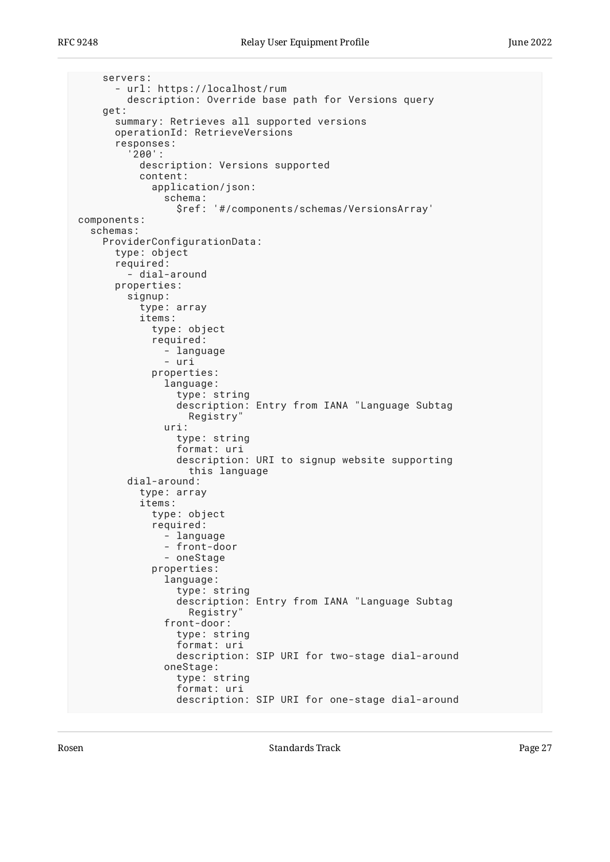```
 servers:
       - url: https://localhost/rum
         description: Override base path for Versions query
     get:
       summary: Retrieves all supported versions
       operationId: RetrieveVersions
       responses:
          '200':
            description: Versions supported
            content:
              application/json:
                schema:
                  $ref: '#/components/schemas/VersionsArray'
components:
   schemas:
     ProviderConfigurationData:
       type: object
       required:
          - dial-around
       properties:
         signup:
            type: array
            items:
              type: object
              required:
                - language
                - uri
              properties:
                language:
                  type: string
                  description: Entry from IANA "Language Subtag
                     Registry"
                uri:
                  type: string
                  format: uri
                  description: URI to signup website supporting
                     this language
         dial-around:
            type: array
            items:
              type: object
              required:
                - language
                - front-door
                - oneStage
              properties:
                language:
                  type: string
                  description: Entry from IANA "Language Subtag
                    Registry"
                front-door:
                  type: string
                  format: uri
                  description: SIP URI for two-stage dial-around
                oneStage:
                  type: string
                  format: uri
                  description: SIP URI for one-stage dial-around
```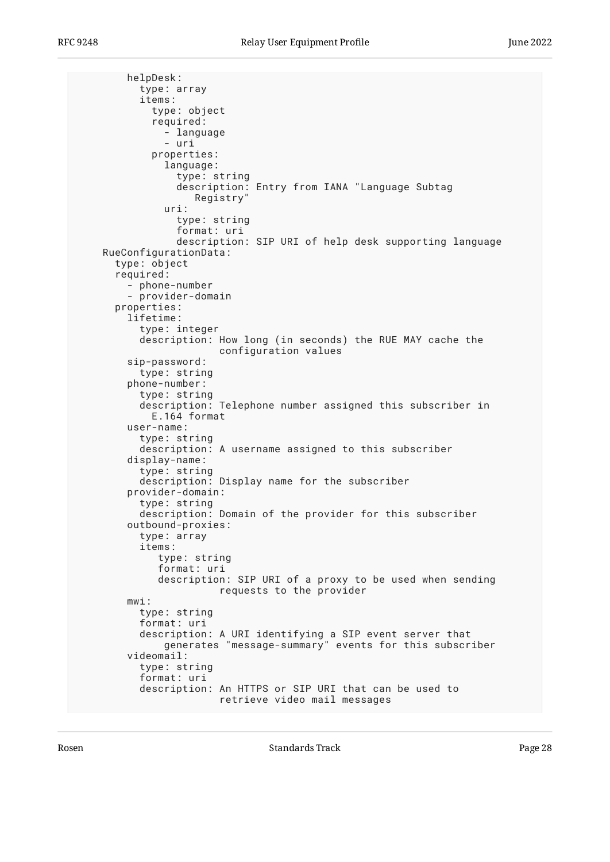helpDesk: type: array items: type: object required: - language - uri properties: language: type: string description: Entry from IANA "Language Subtag Registry" uri: type: string format: uri description: SIP URI of help desk supporting language RueConfigurationData: type: object required: - phone-number - provider-domain properties: lifetime: type: integer description: How long (in seconds) the RUE MAY cache the configuration values sip-password: type: string phone-number: type: string description: Telephone number assigned this subscriber in E.164 format user-name: type: string description: A username assigned to this subscriber display-name: type: string description: Display name for the subscriber provider-domain: type: string description: Domain of the provider for this subscriber outbound-proxies: type: array items: type: string format: uri description: SIP URI of a proxy to be used when sending requests to the provider mwi: type: string format: uri description: A URI identifying a SIP event server that generates "message-summary" events for this subscriber videomail: type: string format: uri description: An HTTPS or SIP URI that can be used to retrieve video mail messages

Rosen and the Standards Track Page 28 and the Standards Track Page 28 and the Page 28 and the Page 28 and the Page 28 and the Page 28 and the Page 28 and the Page 28 and the Page 28 and the Page 28 and the Page 28 and the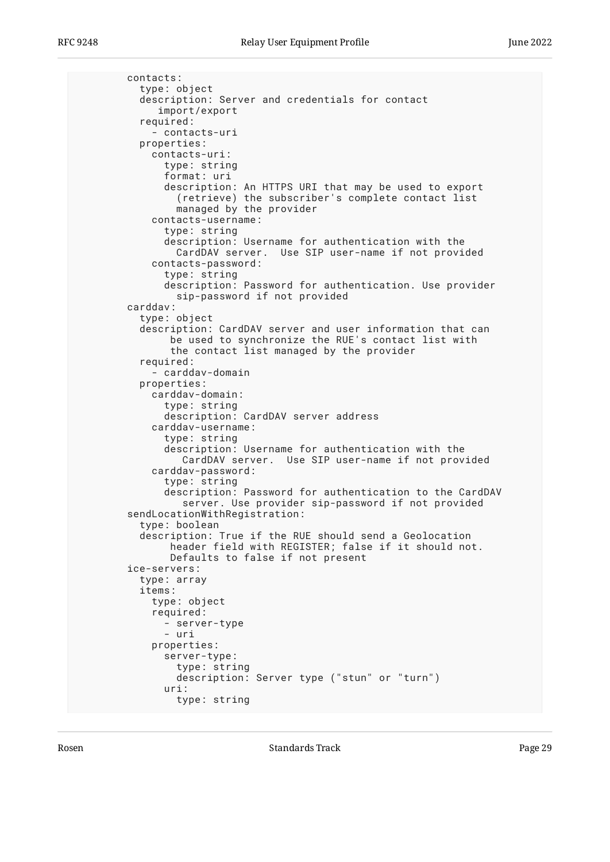```
 contacts:
   type: object
   description: Server and credentials for contact
      import/export
   required:
     - contacts-uri
   properties:
     contacts-uri:
       type: string
       format: uri
       description: An HTTPS URI that may be used to export
         (retrieve) the subscriber's complete contact list
         managed by the provider
     contacts-username:
       type: string
       description: Username for authentication with the
         CardDAV server. Use SIP user-name if not provided
     contacts-password:
       type: string
       description: Password for authentication. Use provider
         sip-password if not provided
 carddav:
   type: object
   description: CardDAV server and user information that can
        be used to synchronize the RUE's contact list with
        the contact list managed by the provider
   required:
     - carddav-domain
   properties:
     carddav-domain:
       type: string
       description: CardDAV server address
     carddav-username:
       type: string
       description: Username for authentication with the
          CardDAV server. Use SIP user-name if not provided
     carddav-password:
       type: string
       description: Password for authentication to the CardDAV
          server. Use provider sip-password if not provided
 sendLocationWithRegistration:
   type: boolean
   description: True if the RUE should send a Geolocation
        header field with REGISTER; false if it should not.
        Defaults to false if not present
 ice-servers:
   type: array
   items:
     type: object
     required:
       - server-type
       - uri
     properties:
       server-type:
         type: string
         description: Server type ("stun" or "turn")
       uri:
         type: string
```
Rosen and the Standards Track Page 29 Standards Track Page 29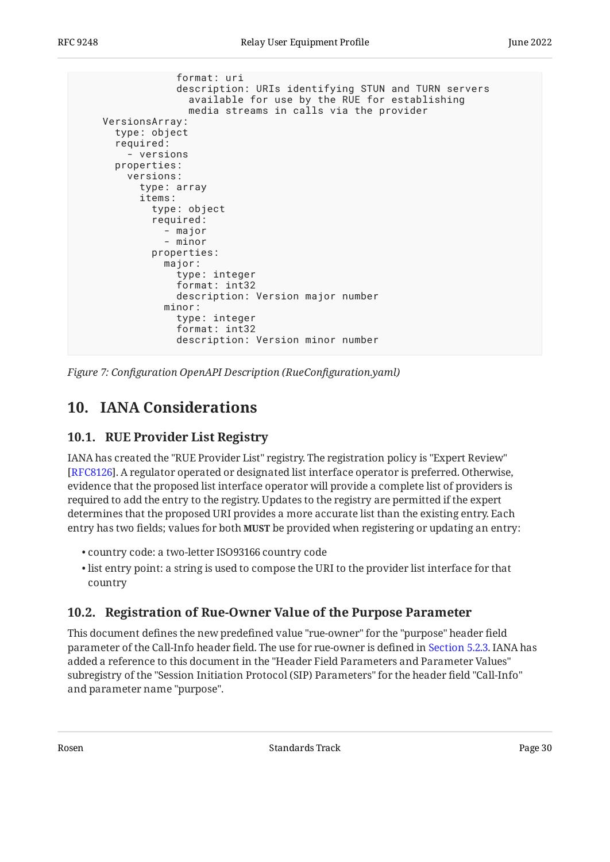format: uri description: URIs identifying STUN and TURN servers available for use by the RUE for establishing media streams in calls via the provider VersionsArray: type: object required: - versions properties: versions: type: array items: type: object required: - major - minor properties: major: type: integer format: int32 description: Version major number minor: type: integer format: int32 description: Version minor number

<span id="page-29-0"></span>*[Figure 7:](#page-25-0) Confi[guration OpenAPI Description \(RueCon](#page-24-1)figuration.yaml)* 

# <span id="page-29-1"></span>**[10. IANA Considerations](#page-29-0)**

### **[10.1. RUE Provider List Registry](#page-29-1)**

IANA has created the "RUE Provider List" registry. The registration policy is "Expert Review" . A regulator operated or designated list interface operator is preferred. Otherwise, [[RFC8126\]](#page-35-7) evidence that the proposed list interface operator will provide a complete list of providers is required to add the entry to the registry. Updates to the registry are permitted if the expert determines that the proposed URI provides a more accurate list than the existing entry. Each entry has two fields; values for both **MUST** be provided when registering or updating an entry:

- country code: a two-letter ISO93166 country code •
- $\bullet$  list entry point: a string is used to compose the URI to the provider list interface for that country

### <span id="page-29-2"></span>**[10.2. Registration of Rue-Owner Value of the Purpose Parameter](#page-29-2)**

This document defines the new predefined value "rue-owner" for the "purpose" header field parameter of the Call-Info header field. The use for rue-owner is defined in [Section 5.2.3](#page-10-0). IANA has added a reference to this document in the "Header Field Parameters and Parameter Values" subregistry of the "Session Initiation Protocol (SIP) Parameters" for the header field "Call-Info" and parameter name "purpose".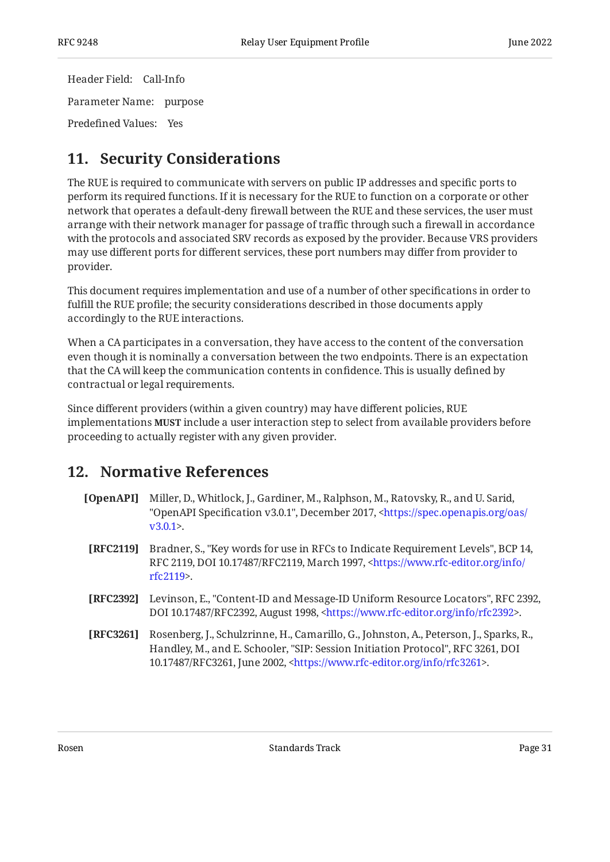Header Field: Call-Info Parameter Name: purpose Predefined Values: Yes

# <span id="page-30-0"></span>**[11. Security Considerations](#page-30-0)**

The RUE is required to communicate with servers on public IP addresses and specific ports to perform its required functions. If it is necessary for the RUE to function on a corporate or other network that operates a default-deny firewall between the RUE and these services, the user must arrange with their network manager for passage of traffic through such a firewall in accordance with the protocols and associated SRV records as exposed by the provider. Because VRS providers may use different ports for different services, these port numbers may differ from provider to provider.

This document requires implementation and use of a number of other specifications in order to fulfill the RUE profile; the security considerations described in those documents apply accordingly to the RUE interactions.

When a CA participates in a conversation, they have access to the content of the conversation even though it is nominally a conversation between the two endpoints. There is an expectation that the CA will keep the communication contents in confidence. This is usually defined by contractual or legal requirements.

Since different providers (within a given country) may have different policies, RUE implementations **MUST** include a user interaction step to select from available providers before proceeding to actually register with any given provider.

# <span id="page-30-1"></span>**[12. Normative References](#page-30-1)**

- <span id="page-30-5"></span>**[OpenAPI]** Miller, D., Whitlock, J., Gardiner, M., Ralphson, M., Ratovsky, R., and U. Sarid, "OpenAPI Specification v3.0.1", December 2017, [<https://spec.openapis.org/oas/](https://spec.openapis.org/oas/v3.0.1)  $v3.0.1$
- <span id="page-30-2"></span>**[RFC2119]** Bradner, S., "Key words for use in RFCs to Indicate Requirement Levels", BCP 14, RFC 2119, DOI 10.17487/RFC2119, March 1997, [<https://www.rfc-editor.org/info/](https://www.rfc-editor.org/info/rfc2119) . [rfc2119](https://www.rfc-editor.org/info/rfc2119)>
- <span id="page-30-4"></span>**[RFC2392]** Levinson, E., "Content-ID and Message-ID Uniform Resource Locators", RFC 2392, DOI 10.17487/RFC2392, August 1998, <https://www.rfc-editor.org/info/rfc2392>.
- <span id="page-30-3"></span>**[RFC3261]** Rosenberg, J., Schulzrinne, H., Camarillo, G., Johnston, A., Peterson, J., Sparks, R., Handley, M., and E. Schooler, "SIP: Session Initiation Protocol", RFC 3261, DOI 10.17487/RFC3261, June 2002, <https://www.rfc-editor.org/info/rfc3261>.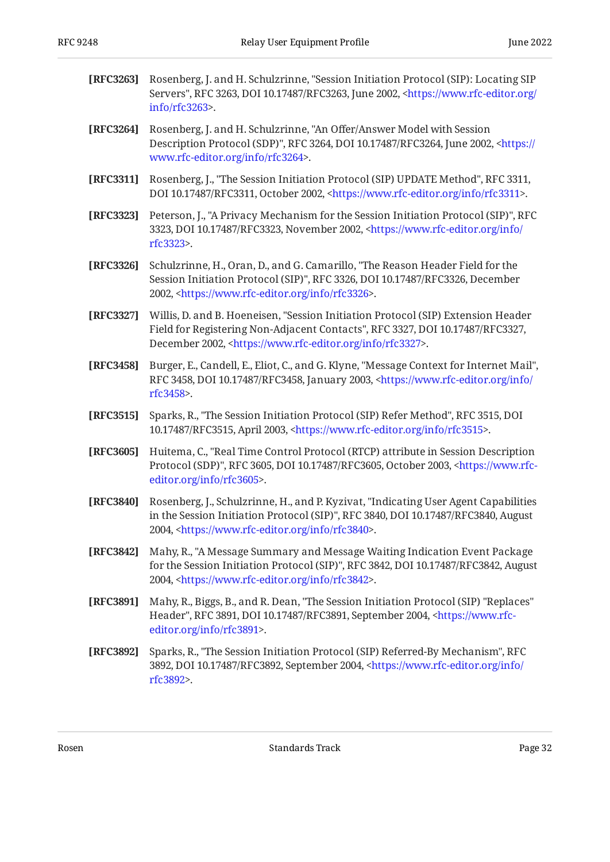<span id="page-31-12"></span><span id="page-31-8"></span><span id="page-31-7"></span><span id="page-31-6"></span><span id="page-31-5"></span><span id="page-31-3"></span><span id="page-31-1"></span><span id="page-31-0"></span>

| [RFC3263] | Rosenberg, J. and H. Schulzrinne, "Session Initiation Protocol (SIP): Locating SIP<br>Servers", RFC 3263, DOI 10.17487/RFC3263, June 2002, <https: <br="" www.rfc-editor.org="">info/rfc3263&gt;.</https:>                                      |
|-----------|-------------------------------------------------------------------------------------------------------------------------------------------------------------------------------------------------------------------------------------------------|
| [RFC3264] | Rosenberg, J. and H. Schulzrinne, "An Offer/Answer Model with Session<br>Description Protocol (SDP)", RFC 3264, DOI 10.17487/RFC3264, June 2002, <https: <br="">www.rfc-editor.org/info/rfc3264&gt;.</https:>                                   |
| [RFC3311] | Rosenberg, J., "The Session Initiation Protocol (SIP) UPDATE Method", RFC 3311,<br>DOI 10.17487/RFC3311, October 2002, <https: info="" rfc3311="" www.rfc-editor.org="">.</https:>                                                              |
| [RFC3323] | Peterson, J., "A Privacy Mechanism for the Session Initiation Protocol (SIP)", RFC<br>3323, DOI 10.17487/RFC3323, November 2002, <https: <br="" info="" www.rfc-editor.org="">rfc3323&gt;.</https:>                                             |
| [RFC3326] | Schulzrinne, H., Oran, D., and G. Camarillo, "The Reason Header Field for the<br>Session Initiation Protocol (SIP)", RFC 3326, DOI 10.17487/RFC3326, December<br>2002, <https: info="" rfc3326="" www.rfc-editor.org="">.</https:>              |
| [RFC3327] | Willis, D. and B. Hoeneisen, "Session Initiation Protocol (SIP) Extension Header<br>Field for Registering Non-Adjacent Contacts", RFC 3327, DOI 10.17487/RFC3327,<br>December 2002, <https: info="" rfc3327="" www.rfc-editor.org="">.</https:> |
| [RFC3458] | Burger, E., Candell, E., Eliot, C., and G. Klyne, "Message Context for Internet Mail",<br>RFC 3458, DOI 10.17487/RFC3458, January 2003, <https: <br="" info="" www.rfc-editor.org="">rfc3458&gt;.</https:>                                      |
| [RFC3515] | Sparks, R., "The Session Initiation Protocol (SIP) Refer Method", RFC 3515, DOI<br>10.17487/RFC3515, April 2003, <https: info="" rfc3515="" www.rfc-editor.org="">.</https:>                                                                    |
| [RFC3605] | Huitema, C., "Real Time Control Protocol (RTCP) attribute in Session Description<br>Protocol (SDP)", RFC 3605, DOI 10.17487/RFC3605, October 2003, <https: www.rfc-<br="">editor.org/info/rfc3605&gt;.</https:>                                 |
| [RFC3840] | Rosenberg, J., Schulzrinne, H., and P. Kyzivat, "Indicating User Agent Capabilities<br>in the Session Initiation Protocol (SIP)", RFC 3840, DOI 10.17487/RFC3840, August<br>2004, <https: info="" rfc3840="" www.rfc-editor.org="">.</https:>   |
| [RFC3842] | Mahy, R., "A Message Summary and Message Waiting Indication Event Package<br>for the Session Initiation Protocol (SIP)", RFC 3842, DOI 10.17487/RFC3842, August<br>2004, <https: info="" rfc3842="" www.rfc-editor.org="">.</https:>            |
| [RFC3891] | Mahy, R., Biggs, B., and R. Dean, "The Session Initiation Protocol (SIP) "Replaces"<br>Header", RFC 3891, DOI 10.17487/RFC3891, September 2004, <https: www.rfc-<br="">editor.org/info/rfc3891&gt;.</https:>                                    |
| [RFC3892] | Sparks, R., "The Session Initiation Protocol (SIP) Referred-By Mechanism", RFC<br>3892, DOI 10.17487/RFC3892, September 2004, <https: <br="" info="" www.rfc-editor.org="">rfc3892&gt;.</https:>                                                |
|           |                                                                                                                                                                                                                                                 |

<span id="page-31-11"></span><span id="page-31-10"></span><span id="page-31-9"></span><span id="page-31-4"></span><span id="page-31-2"></span>Rosen Bage 32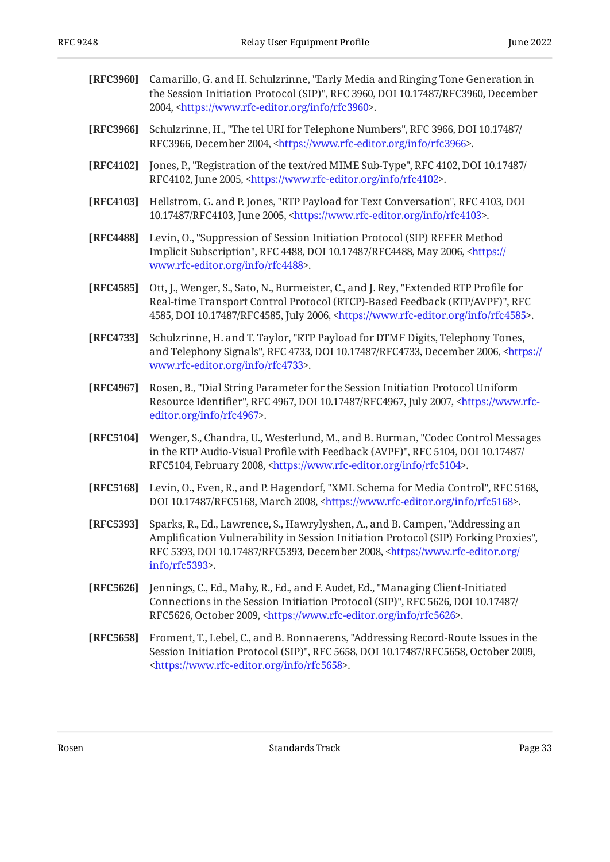<span id="page-32-10"></span><span id="page-32-9"></span><span id="page-32-8"></span><span id="page-32-7"></span><span id="page-32-6"></span><span id="page-32-5"></span><span id="page-32-4"></span><span id="page-32-3"></span>

| [RFC3960] | Camarillo, G. and H. Schulzrinne, "Early Media and Ringing Tone Generation in<br>the Session Initiation Protocol (SIP)", RFC 3960, DOI 10.17487/RFC3960, December<br>2004, <https: info="" rfc3960="" www.rfc-editor.org="">.</https:>                                                         |
|-----------|------------------------------------------------------------------------------------------------------------------------------------------------------------------------------------------------------------------------------------------------------------------------------------------------|
| [RFC3966] | Schulzrinne, H., "The tel URI for Telephone Numbers", RFC 3966, DOI 10.17487/<br>RFC3966, December 2004, <https: info="" rfc3966="" www.rfc-editor.org="">.</https:>                                                                                                                           |
| [RFC4102] | Jones, P., "Registration of the text/red MIME Sub-Type", RFC 4102, DOI 10.17487/<br>RFC4102, June 2005, <https: info="" rfc4102="" www.rfc-editor.org="">.</https:>                                                                                                                            |
| [RFC4103] | Hellstrom, G. and P. Jones, "RTP Payload for Text Conversation", RFC 4103, DOI<br>10.17487/RFC4103, June 2005, <https: info="" rfc4103="" www.rfc-editor.org="">.</https:>                                                                                                                     |
| [RFC4488] | Levin, O., "Suppression of Session Initiation Protocol (SIP) REFER Method<br>Implicit Subscription", RFC 4488, DOI 10.17487/RFC4488, May 2006, <https: <br="">www.rfc-editor.org/info/rfc4488&gt;.</https:>                                                                                    |
| [RFC4585] | Ott, J., Wenger, S., Sato, N., Burmeister, C., and J. Rey, "Extended RTP Profile for<br>Real-time Transport Control Protocol (RTCP)-Based Feedback (RTP/AVPF)", RFC<br>4585, DOI 10.17487/RFC4585, July 2006, <https: info="" rfc4585="" www.rfc-editor.org="">.</https:>                      |
| [RFC4733] | Schulzrinne, H. and T. Taylor, "RTP Payload for DTMF Digits, Telephony Tones,<br>and Telephony Signals", RFC 4733, DOI 10.17487/RFC4733, December 2006, <https: <br="">www.rfc-editor.org/info/rfc4733&gt;.</https:>                                                                           |
| [RFC4967] | Rosen, B., "Dial String Parameter for the Session Initiation Protocol Uniform<br>Resource Identifier", RFC 4967, DOI 10.17487/RFC4967, July 2007, <https: www.rfc-<br="">editor.org/info/rfc4967&gt;.</https:>                                                                                 |
| [RFC5104] | Wenger, S., Chandra, U., Westerlund, M., and B. Burman, "Codec Control Messages<br>in the RTP Audio-Visual Profile with Feedback (AVPF)", RFC 5104, DOI 10.17487/<br>RFC5104, February 2008, <https: info="" rfc5104="" www.rfc-editor.org="">.</https:>                                       |
| [RFC5168] | Levin, O., Even, R., and P. Hagendorf, "XML Schema for Media Control", RFC 5168,<br>DOI 10.17487/RFC5168, March 2008, <https: info="" rfc5168="" www.rfc-editor.org="">.</https:>                                                                                                              |
| [RFC5393] | Sparks, R., Ed., Lawrence, S., Hawrylyshen, A., and B. Campen, "Addressing an<br>Amplification Vulnerability in Session Initiation Protocol (SIP) Forking Proxies",<br>RFC 5393, DOI 10.17487/RFC5393, December 2008, <https: <br="" www.rfc-editor.org=""><math>info/rfc5393</math>.</https:> |
| [RFC5626] | Jennings, C., Ed., Mahy, R., Ed., and F. Audet, Ed., "Managing Client-Initiated<br>Connections in the Session Initiation Protocol (SIP)", RFC 5626, DOI 10.17487/<br>RFC5626, October 2009, <https: info="" rfc5626="" www.rfc-editor.org="">.</https:>                                        |
| [RFC5658] | Froment, T., Lebel, C., and B. Bonnaerens, "Addressing Record-Route Issues in the<br>Session Initiation Protocol (SIP)", RFC 5658, DOI 10.17487/RFC5658, October 2009,<br><https: info="" rfc5658="" www.rfc-editor.org="">.</https:>                                                          |

<span id="page-32-12"></span><span id="page-32-11"></span><span id="page-32-2"></span><span id="page-32-1"></span><span id="page-32-0"></span>Rosen Bage 33 and a standards Track Page 33 and a standards Track Page 33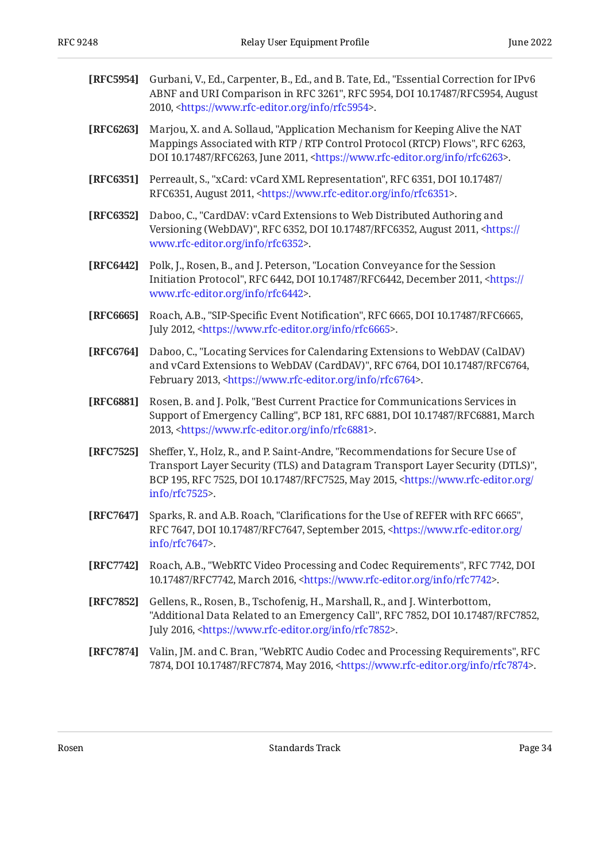<span id="page-33-12"></span><span id="page-33-11"></span><span id="page-33-10"></span><span id="page-33-5"></span><span id="page-33-4"></span><span id="page-33-3"></span><span id="page-33-2"></span><span id="page-33-1"></span>

| [RFC5954] | Gurbani, V., Ed., Carpenter, B., Ed., and B. Tate, Ed., "Essential Correction for IPv6<br>ABNF and URI Comparison in RFC 3261", RFC 5954, DOI 10.17487/RFC5954, August<br>2010, <https: info="" rfc5954="" www.rfc-editor.org="">.</https:>                                          |
|-----------|--------------------------------------------------------------------------------------------------------------------------------------------------------------------------------------------------------------------------------------------------------------------------------------|
| [RFC6263] | Marjou, X. and A. Sollaud, "Application Mechanism for Keeping Alive the NAT<br>Mappings Associated with RTP / RTP Control Protocol (RTCP) Flows", RFC 6263,<br>DOI 10.17487/RFC6263, June 2011, <https: info="" rfc6263="" www.rfc-editor.org="">.</https:>                          |
| [RFC6351] | Perreault, S., "xCard: vCard XML Representation", RFC 6351, DOI 10.17487/<br>RFC6351, August 2011, <https: info="" rfc6351="" www.rfc-editor.org="">.</https:>                                                                                                                       |
| [RFC6352] | Daboo, C., "CardDAV: vCard Extensions to Web Distributed Authoring and<br>Versioning (WebDAV)", RFC 6352, DOI 10.17487/RFC6352, August 2011, <https: <br="">www.rfc-editor.org/info/rfc6352&gt;.</https:>                                                                            |
| [RFC6442] | Polk, J., Rosen, B., and J. Peterson, "Location Conveyance for the Session<br>Initiation Protocol", RFC 6442, DOI 10.17487/RFC6442, December 2011, <https: <br="">www.rfc-editor.org/info/rfc6442&gt;.</https:>                                                                      |
| [RFC6665] | Roach, A.B., "SIP-Specific Event Notification", RFC 6665, DOI 10.17487/RFC6665,<br>July 2012, <https: info="" rfc6665="" www.rfc-editor.org="">.</https:>                                                                                                                            |
| [RFC6764] | Daboo, C., "Locating Services for Calendaring Extensions to WebDAV (CalDAV)<br>and vCard Extensions to WebDAV (CardDAV)", RFC 6764, DOI 10.17487/RFC6764,<br>February 2013, <https: info="" rfc6764="" www.rfc-editor.org="">.</https:>                                              |
| [RFC6881] | Rosen, B. and J. Polk, "Best Current Practice for Communications Services in<br>Support of Emergency Calling", BCP 181, RFC 6881, DOI 10.17487/RFC6881, March<br>2013, <https: info="" rfc6881="" www.rfc-editor.org="">.</https:>                                                   |
| [RFC7525] | Sheffer, Y., Holz, R., and P. Saint-Andre, "Recommendations for Secure Use of<br>Transport Layer Security (TLS) and Datagram Transport Layer Security (DTLS)",<br>BCP 195, RFC 7525, DOI 10.17487/RFC7525, May 2015, <https: <br="" www.rfc-editor.org="">info/rfc7525&gt;.</https:> |
| [RFC7647] | Sparks, R. and A.B. Roach, "Clarifications for the Use of REFER with RFC 6665",<br>RFC 7647, DOI 10.17487/RFC7647, September 2015, <https: <br="" www.rfc-editor.org="">info/rfc7647&gt;.</https:>                                                                                   |
| [RFC7742] | Roach, A.B., "WebRTC Video Processing and Codec Requirements", RFC 7742, DOI<br>10.17487/RFC7742, March 2016, <https: info="" rfc7742="" www.rfc-editor.org="">.</https:>                                                                                                            |
| [RFC7852] | Gellens, R., Rosen, B., Tschofenig, H., Marshall, R., and J. Winterbottom,<br>"Additional Data Related to an Emergency Call", RFC 7852, DOI 10.17487/RFC7852,<br>July 2016, <https: info="" rfc7852="" www.rfc-editor.org="">.</https:>                                              |
| [RFC7874] | Valin, JM. and C. Bran, "WebRTC Audio Codec and Processing Requirements", RFC<br>7874, DOI 10.17487/RFC7874, May 2016, <https: info="" rfc7874="" www.rfc-editor.org="">.</https:>                                                                                                   |

<span id="page-33-9"></span><span id="page-33-8"></span><span id="page-33-7"></span><span id="page-33-6"></span><span id="page-33-0"></span>Rosen Bage 34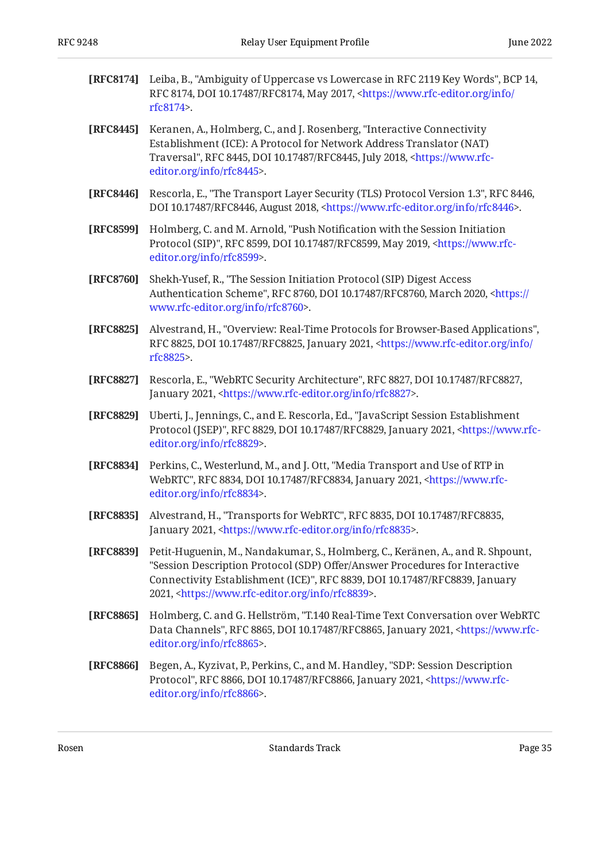<span id="page-34-10"></span><span id="page-34-8"></span><span id="page-34-6"></span><span id="page-34-5"></span><span id="page-34-2"></span><span id="page-34-1"></span><span id="page-34-0"></span>

| [RFC8174] | Leiba, B., "Ambiguity of Uppercase vs Lowercase in RFC 2119 Key Words", BCP 14,<br>RFC 8174, DOI 10.17487/RFC8174, May 2017, <https: <br="" info="" www.rfc-editor.org="">rfc8174&gt;.</https:>                                                                                                                  |
|-----------|------------------------------------------------------------------------------------------------------------------------------------------------------------------------------------------------------------------------------------------------------------------------------------------------------------------|
| [RFC8445] | Keranen, A., Holmberg, C., and J. Rosenberg, "Interactive Connectivity<br>Establishment (ICE): A Protocol for Network Address Translator (NAT)<br>Traversal", RFC 8445, DOI 10.17487/RFC8445, July 2018, <https: www.rfc-<br="">editor.org/info/rfc8445&gt;.</https:>                                            |
| [RFC8446] | Rescorla, E., "The Transport Layer Security (TLS) Protocol Version 1.3", RFC 8446,<br>DOI 10.17487/RFC8446, August 2018, <https: info="" rfc8446="" www.rfc-editor.org="">.</https:>                                                                                                                             |
| [RFC8599] | Holmberg, C. and M. Arnold, "Push Notification with the Session Initiation<br>Protocol (SIP)", RFC 8599, DOI 10.17487/RFC8599, May 2019, <https: www.rfc-<br="">editor.org/info/rfc8599&gt;.</https:>                                                                                                            |
| [RFC8760] | Shekh-Yusef, R., "The Session Initiation Protocol (SIP) Digest Access<br>Authentication Scheme", RFC 8760, DOI 10.17487/RFC8760, March 2020, <https: <br="">www.rfc-editor.org/info/rfc8760&gt;.</https:>                                                                                                        |
| [RFC8825] | Alvestrand, H., "Overview: Real-Time Protocols for Browser-Based Applications",<br>RFC 8825, DOI 10.17487/RFC8825, January 2021, <https: <br="" info="" www.rfc-editor.org="">rfc8825&gt;.</https:>                                                                                                              |
| [RFC8827] | Rescorla, E., "WebRTC Security Architecture", RFC 8827, DOI 10.17487/RFC8827,<br>January 2021, <https: info="" rfc8827="" www.rfc-editor.org="">.</https:>                                                                                                                                                       |
| [RFC8829] | Uberti, J., Jennings, C., and E. Rescorla, Ed., "JavaScript Session Establishment<br>Protocol (JSEP)", RFC 8829, DOI 10.17487/RFC8829, January 2021, <https: www.rfc-<br="">editor.org/info/rfc8829&gt;.</https:>                                                                                                |
| [RFC8834] | Perkins, C., Westerlund, M., and J. Ott, "Media Transport and Use of RTP in<br>WebRTC", RFC 8834, DOI 10.17487/RFC8834, January 2021, <https: www.rfc-<br="">editor.org/info/rfc8834&gt;.</https:>                                                                                                               |
| [RFC8835] | Alvestrand, H., "Transports for WebRTC", RFC 8835, DOI 10.17487/RFC8835,<br>January 2021, <https: info="" rfc8835="" www.rfc-editor.org="">.</https:>                                                                                                                                                            |
| [RFC8839] | Petit-Huguenin, M., Nandakumar, S., Holmberg, C., Keränen, A., and R. Shpount,<br>"Session Description Protocol (SDP) Offer/Answer Procedures for Interactive<br>Connectivity Establishment (ICE)", RFC 8839, DOI 10.17487/RFC8839, January<br>2021, <https: info="" rfc8839="" www.rfc-editor.org="">.</https:> |
| [RFC8865] | Holmberg, C. and G. Hellström, "T.140 Real-Time Text Conversation over WebRTC<br>Data Channels", RFC 8865, DOI 10.17487/RFC8865, January 2021, <https: www.rfc-<br="">editor.org/info/rfc8865&gt;.</https:>                                                                                                      |
| [RFC8866] | Begen, A., Kyzivat, P., Perkins, C., and M. Handley, "SDP: Session Description<br>Protocol", RFC 8866, DOI 10.17487/RFC8866, January 2021, <https: www.rfc-<br="">editor.org/info/rfc8866&gt;.</https:>                                                                                                          |

<span id="page-34-12"></span><span id="page-34-11"></span><span id="page-34-9"></span><span id="page-34-7"></span><span id="page-34-4"></span><span id="page-34-3"></span>Rosen Bage 35